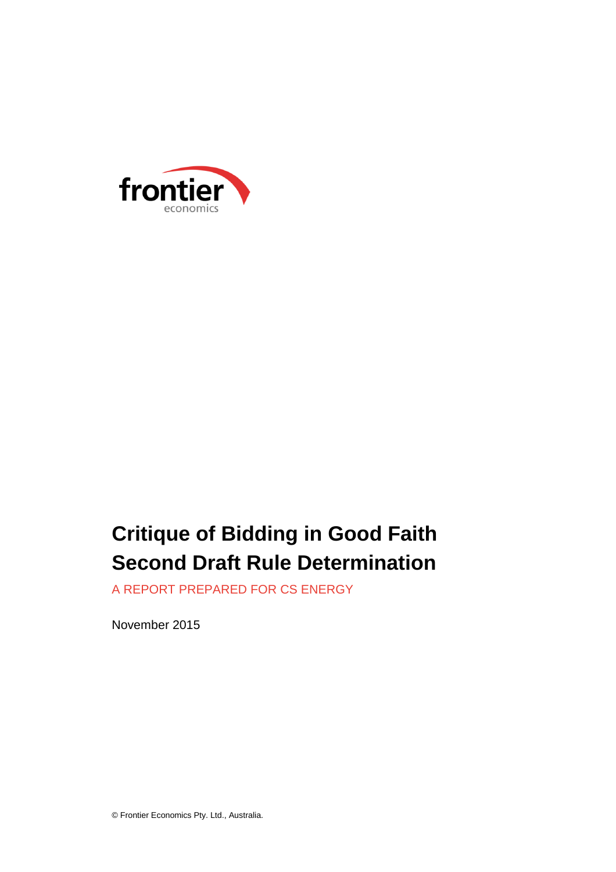

# **Critique of Bidding in Good Faith Second Draft Rule Determination**

A REPORT PREPARED FOR CS ENERGY

November 2015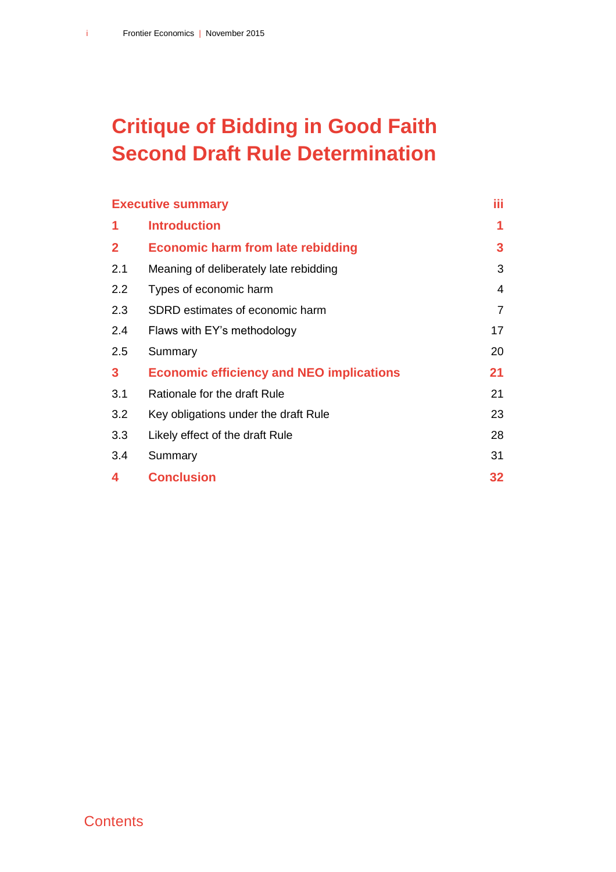# **Critique of Bidding in Good Faith Second Draft Rule Determination**

| <b>Executive summary</b> |                                                 | iii.           |
|--------------------------|-------------------------------------------------|----------------|
| 1                        | <b>Introduction</b>                             | 1              |
| $\mathbf{2}$             | <b>Economic harm from late rebidding</b>        | 3              |
| 2.1                      | Meaning of deliberately late rebidding          | 3              |
| 2.2                      | Types of economic harm                          | 4              |
| 2.3                      | SDRD estimates of economic harm                 | $\overline{7}$ |
| 2.4                      | Flaws with EY's methodology                     | 17             |
| 2.5                      | Summary                                         | 20             |
| 3                        | <b>Economic efficiency and NEO implications</b> | 21             |
| 3.1                      | Rationale for the draft Rule                    | 21             |
| 3.2                      | Key obligations under the draft Rule            | 23             |
| 3.3                      | Likely effect of the draft Rule                 | 28             |
| 3.4                      | Summary                                         | 31             |
| 4                        | <b>Conclusion</b>                               | 32             |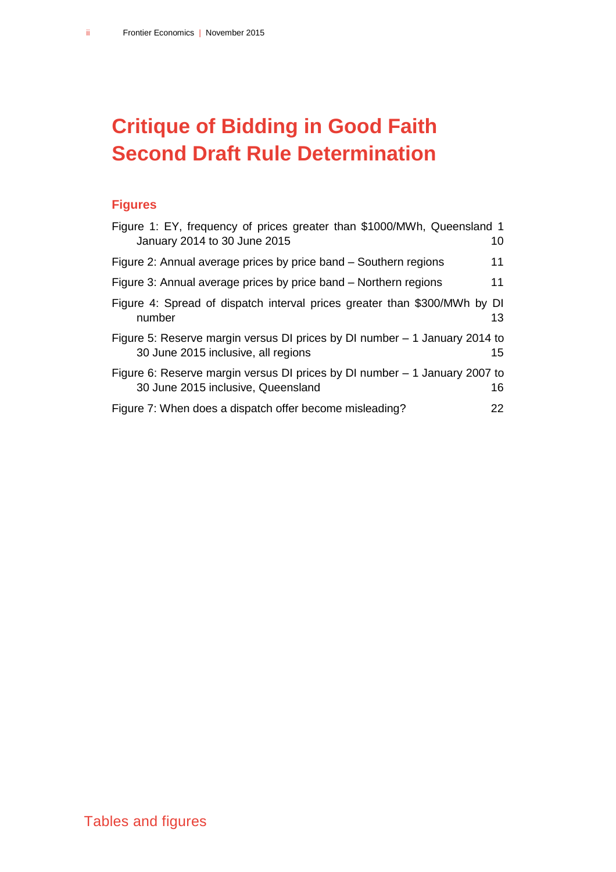# **Critique of Bidding in Good Faith Second Draft Rule Determination**

### **Figures**

| Figure 1: EY, frequency of prices greater than \$1000/MWh, Queensland 1<br>January 2014 to 30 June 2015           | 10              |
|-------------------------------------------------------------------------------------------------------------------|-----------------|
| Figure 2: Annual average prices by price band – Southern regions                                                  | 11              |
| Figure 3: Annual average prices by price band – Northern regions                                                  | 11              |
| Figure 4: Spread of dispatch interval prices greater than \$300/MWh by DI<br>number                               | 13              |
| Figure 5: Reserve margin versus DI prices by DI number – 1 January 2014 to<br>30 June 2015 inclusive, all regions | 15 <sup>1</sup> |
| Figure 6: Reserve margin versus DI prices by DI number - 1 January 2007 to<br>30 June 2015 inclusive, Queensland  | 16              |
| Figure 7: When does a dispatch offer become misleading?                                                           | 22              |
|                                                                                                                   |                 |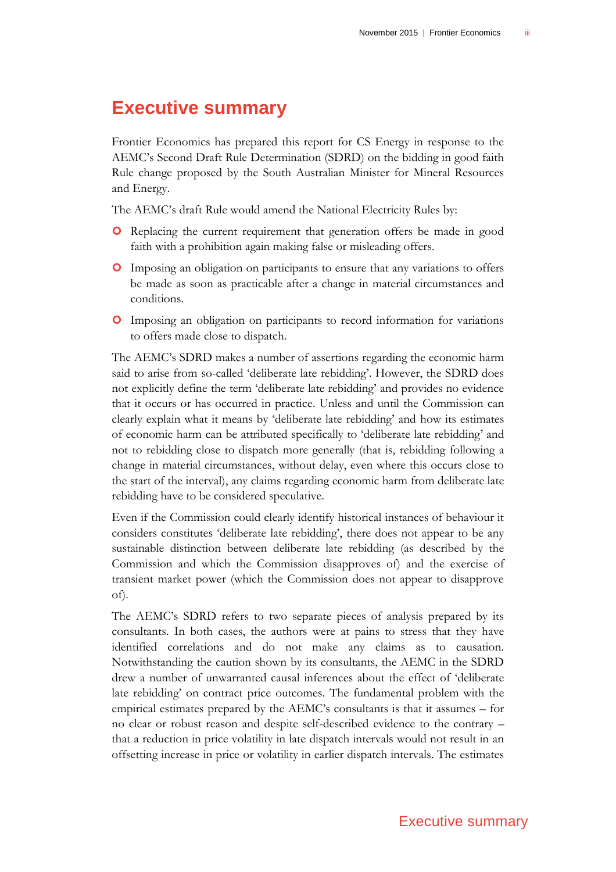## <span id="page-4-0"></span>**Executive summary**

Frontier Economics has prepared this report for CS Energy in response to the AEMC's Second Draft Rule Determination (SDRD) on the bidding in good faith Rule change proposed by the South Australian Minister for Mineral Resources and Energy.

The AEMC's draft Rule would amend the National Electricity Rules by:

- Replacing the current requirement that generation offers be made in good faith with a prohibition again making false or misleading offers.
- Imposing an obligation on participants to ensure that any variations to offers be made as soon as practicable after a change in material circumstances and conditions.
- Imposing an obligation on participants to record information for variations to offers made close to dispatch.

The AEMC's SDRD makes a number of assertions regarding the economic harm said to arise from so-called 'deliberate late rebidding'. However, the SDRD does not explicitly define the term 'deliberate late rebidding' and provides no evidence that it occurs or has occurred in practice. Unless and until the Commission can clearly explain what it means by 'deliberate late rebidding' and how its estimates of economic harm can be attributed specifically to 'deliberate late rebidding' and not to rebidding close to dispatch more generally (that is, rebidding following a change in material circumstances, without delay, even where this occurs close to the start of the interval), any claims regarding economic harm from deliberate late rebidding have to be considered speculative.

Even if the Commission could clearly identify historical instances of behaviour it considers constitutes 'deliberate late rebidding', there does not appear to be any sustainable distinction between deliberate late rebidding (as described by the Commission and which the Commission disapproves of) and the exercise of transient market power (which the Commission does not appear to disapprove of).

The AEMC's SDRD refers to two separate pieces of analysis prepared by its consultants. In both cases, the authors were at pains to stress that they have identified correlations and do not make any claims as to causation. Notwithstanding the caution shown by its consultants, the AEMC in the SDRD drew a number of unwarranted causal inferences about the effect of 'deliberate late rebidding' on contract price outcomes. The fundamental problem with the empirical estimates prepared by the AEMC's consultants is that it assumes – for no clear or robust reason and despite self-described evidence to the contrary – that a reduction in price volatility in late dispatch intervals would not result in an offsetting increase in price or volatility in earlier dispatch intervals. The estimates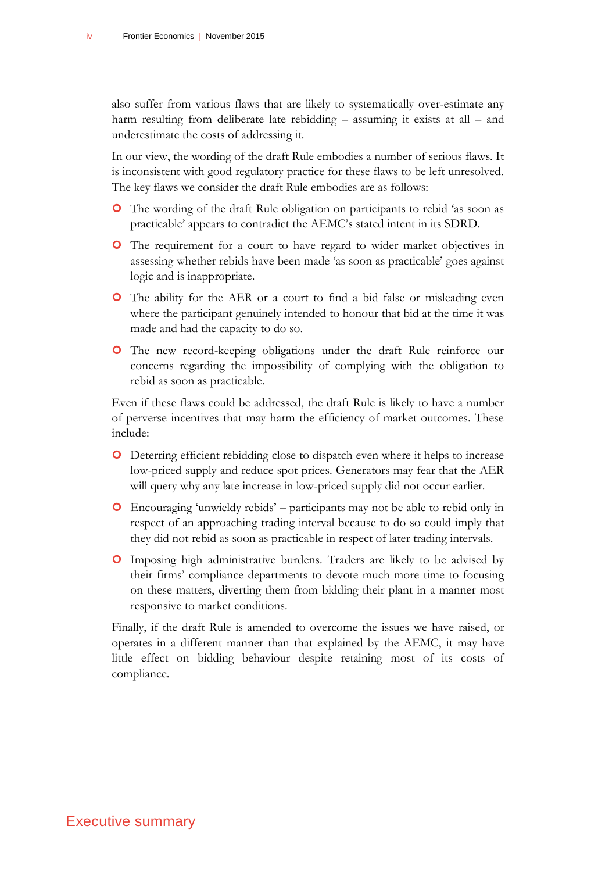also suffer from various flaws that are likely to systematically over-estimate any harm resulting from deliberate late rebidding – assuming it exists at all – and underestimate the costs of addressing it.

In our view, the wording of the draft Rule embodies a number of serious flaws. It is inconsistent with good regulatory practice for these flaws to be left unresolved. The key flaws we consider the draft Rule embodies are as follows:

- The wording of the draft Rule obligation on participants to rebid 'as soon as practicable' appears to contradict the AEMC's stated intent in its SDRD.
- The requirement for a court to have regard to wider market objectives in assessing whether rebids have been made 'as soon as practicable' goes against logic and is inappropriate.
- The ability for the AER or a court to find a bid false or misleading even where the participant genuinely intended to honour that bid at the time it was made and had the capacity to do so.
- The new record-keeping obligations under the draft Rule reinforce our concerns regarding the impossibility of complying with the obligation to rebid as soon as practicable.

Even if these flaws could be addressed, the draft Rule is likely to have a number of perverse incentives that may harm the efficiency of market outcomes. These include:

- **O** Deterring efficient rebidding close to dispatch even where it helps to increase low-priced supply and reduce spot prices. Generators may fear that the AER will query why any late increase in low-priced supply did not occur earlier.
- Encouraging 'unwieldy rebids' participants may not be able to rebid only in respect of an approaching trading interval because to do so could imply that they did not rebid as soon as practicable in respect of later trading intervals.
- Imposing high administrative burdens. Traders are likely to be advised by their firms' compliance departments to devote much more time to focusing on these matters, diverting them from bidding their plant in a manner most responsive to market conditions.

Finally, if the draft Rule is amended to overcome the issues we have raised, or operates in a different manner than that explained by the AEMC, it may have little effect on bidding behaviour despite retaining most of its costs of compliance.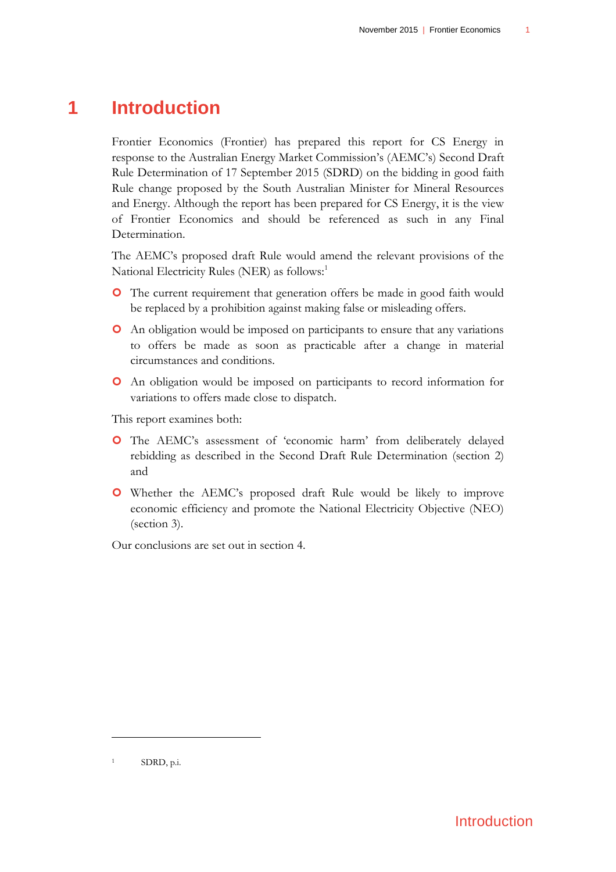# **1 Introduction**

<span id="page-6-0"></span>Frontier Economics (Frontier) has prepared this report for CS Energy in response to the Australian Energy Market Commission's (AEMC's) Second Draft Rule Determination of 17 September 2015 (SDRD) on the bidding in good faith Rule change proposed by the South Australian Minister for Mineral Resources and Energy. Although the report has been prepared for CS Energy, it is the view of Frontier Economics and should be referenced as such in any Final Determination.

The AEMC's proposed draft Rule would amend the relevant provisions of the National Electricity Rules (NER) as follows:<sup>1</sup>

- **O** The current requirement that generation offers be made in good faith would be replaced by a prohibition against making false or misleading offers.
- An obligation would be imposed on participants to ensure that any variations to offers be made as soon as practicable after a change in material circumstances and conditions.
- An obligation would be imposed on participants to record information for variations to offers made close to dispatch.

This report examines both:

- The AEMC's assessment of 'economic harm' from deliberately delayed rebidding as described in the Second Draft Rule Determination (section [2\)](#page-8-0) and
- Whether the AEMC's proposed draft Rule would be likely to improve economic efficiency and promote the National Electricity Objective (NEO) (section [3\)](#page-26-0).

Our conclusions are set out in section [4.](#page-37-0)

SDRD, p.i.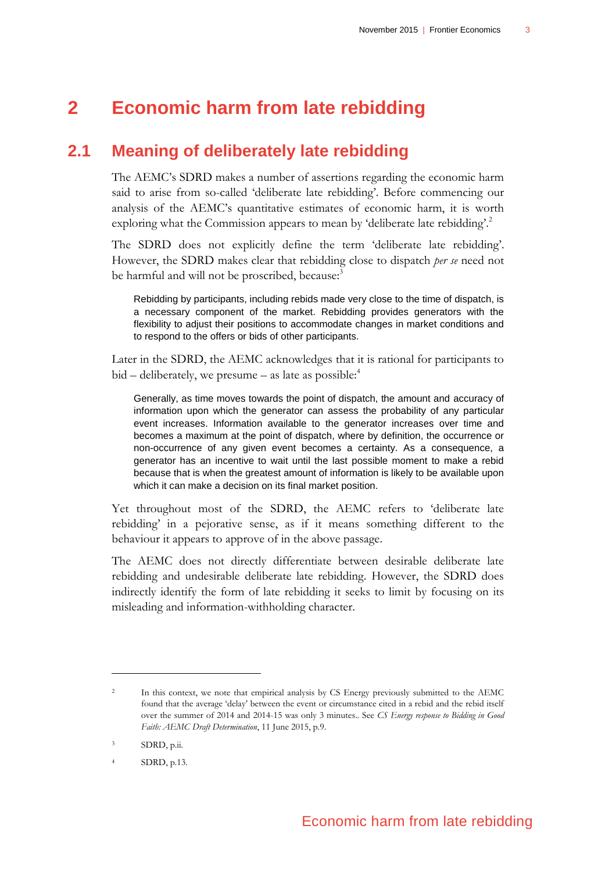# <span id="page-8-0"></span>**2 Economic harm from late rebidding**

### **2.1 Meaning of deliberately late rebidding**

<span id="page-8-1"></span>The AEMC's SDRD makes a number of assertions regarding the economic harm said to arise from so-called 'deliberate late rebidding'. Before commencing our analysis of the AEMC's quantitative estimates of economic harm, it is worth exploring what the Commission appears to mean by 'deliberate late rebidding'.<sup>2</sup>

The SDRD does not explicitly define the term 'deliberate late rebidding'. However, the SDRD makes clear that rebidding close to dispatch *per se* need not be harmful and will not be proscribed, because:<sup>3</sup>

Rebidding by participants, including rebids made very close to the time of dispatch, is a necessary component of the market. Rebidding provides generators with the flexibility to adjust their positions to accommodate changes in market conditions and to respond to the offers or bids of other participants.

Later in the SDRD, the AEMC acknowledges that it is rational for participants to  $bid - deliberately, we pressure - as late as possible:<sup>4</sup>$ 

Generally, as time moves towards the point of dispatch, the amount and accuracy of information upon which the generator can assess the probability of any particular event increases. Information available to the generator increases over time and becomes a maximum at the point of dispatch, where by definition, the occurrence or non-occurrence of any given event becomes a certainty. As a consequence, a generator has an incentive to wait until the last possible moment to make a rebid because that is when the greatest amount of information is likely to be available upon which it can make a decision on its final market position.

Yet throughout most of the SDRD, the AEMC refers to 'deliberate late rebidding' in a pejorative sense, as if it means something different to the behaviour it appears to approve of in the above passage.

The AEMC does not directly differentiate between desirable deliberate late rebidding and undesirable deliberate late rebidding. However, the SDRD does indirectly identify the form of late rebidding it seeks to limit by focusing on its misleading and information-withholding character.

 $\overline{a}$ 

<sup>4</sup> SDRD, p.13.

Economic harm from late rebidding

<sup>2</sup> In this context, we note that empirical analysis by CS Energy previously submitted to the AEMC found that the average 'delay' between the event or circumstance cited in a rebid and the rebid itself over the summer of 2014 and 2014-15 was only 3 minutes.. See *CS Energy response to Bidding in Good Faith: AEMC Draft Determination*, 11 June 2015, p.9.

<sup>&</sup>lt;sup>3</sup> SDRD, p.ii.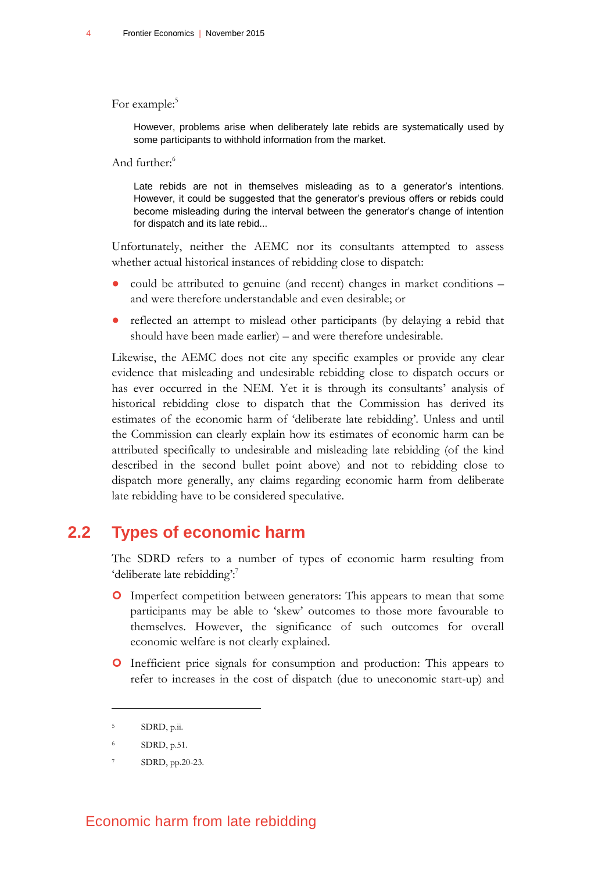For example:<sup>5</sup>

However, problems arise when deliberately late rebids are systematically used by some participants to withhold information from the market.

And further:<sup>6</sup>

Late rebids are not in themselves misleading as to a generator's intentions. However, it could be suggested that the generator's previous offers or rebids could become misleading during the interval between the generator's change of intention for dispatch and its late rebid...

Unfortunately, neither the AEMC nor its consultants attempted to assess whether actual historical instances of rebidding close to dispatch:

- could be attributed to genuine (and recent) changes in market conditions and were therefore understandable and even desirable; or
- reflected an attempt to mislead other participants (by delaying a rebid that should have been made earlier) – and were therefore undesirable.

Likewise, the AEMC does not cite any specific examples or provide any clear evidence that misleading and undesirable rebidding close to dispatch occurs or has ever occurred in the NEM. Yet it is through its consultants' analysis of historical rebidding close to dispatch that the Commission has derived its estimates of the economic harm of 'deliberate late rebidding'. Unless and until the Commission can clearly explain how its estimates of economic harm can be attributed specifically to undesirable and misleading late rebidding (of the kind described in the second bullet point above) and not to rebidding close to dispatch more generally, any claims regarding economic harm from deliberate late rebidding have to be considered speculative.

### <span id="page-9-0"></span>**2.2 Types of economic harm**

The SDRD refers to a number of types of economic harm resulting from 'deliberate late rebidding':7

- Imperfect competition between generators: This appears to mean that some participants may be able to 'skew' outcomes to those more favourable to themselves. However, the significance of such outcomes for overall economic welfare is not clearly explained.
- Inefficient price signals for consumption and production: This appears to refer to increases in the cost of dispatch (due to uneconomic start-up) and

SDRD, p.ii.

<sup>6</sup> SDRD, p.51.

SDRD, pp.20-23.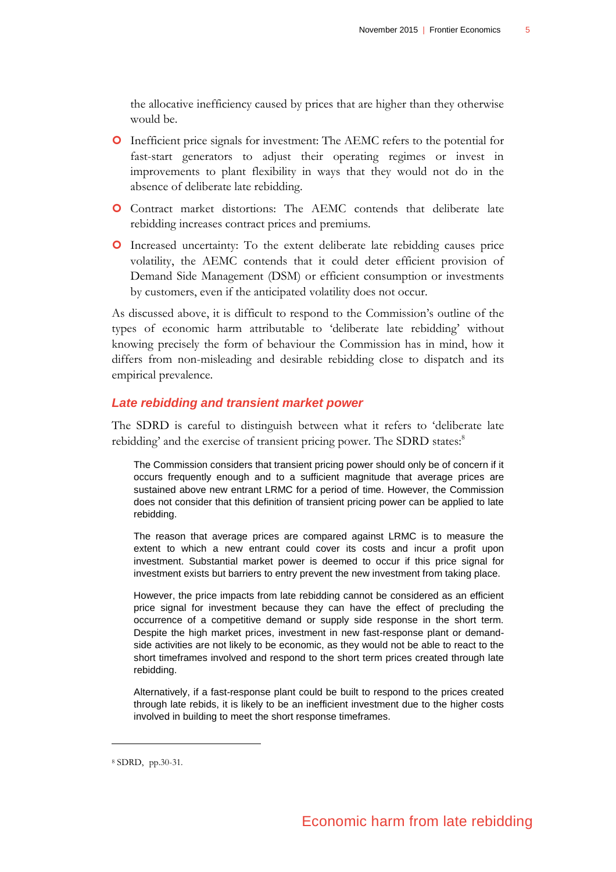the allocative inefficiency caused by prices that are higher than they otherwise would be.

- Inefficient price signals for investment: The AEMC refers to the potential for fast-start generators to adjust their operating regimes or invest in improvements to plant flexibility in ways that they would not do in the absence of deliberate late rebidding.
- Contract market distortions: The AEMC contends that deliberate late rebidding increases contract prices and premiums.
- Increased uncertainty: To the extent deliberate late rebidding causes price volatility, the AEMC contends that it could deter efficient provision of Demand Side Management (DSM) or efficient consumption or investments by customers, even if the anticipated volatility does not occur.

As discussed above, it is difficult to respond to the Commission's outline of the types of economic harm attributable to 'deliberate late rebidding' without knowing precisely the form of behaviour the Commission has in mind, how it differs from non-misleading and desirable rebidding close to dispatch and its empirical prevalence.

#### *Late rebidding and transient market power*

The SDRD is careful to distinguish between what it refers to 'deliberate late rebidding' and the exercise of transient pricing power. The SDRD states:<sup>8</sup>

The Commission considers that transient pricing power should only be of concern if it occurs frequently enough and to a sufficient magnitude that average prices are sustained above new entrant LRMC for a period of time. However, the Commission does not consider that this definition of transient pricing power can be applied to late rebidding.

The reason that average prices are compared against LRMC is to measure the extent to which a new entrant could cover its costs and incur a profit upon investment. Substantial market power is deemed to occur if this price signal for investment exists but barriers to entry prevent the new investment from taking place.

However, the price impacts from late rebidding cannot be considered as an efficient price signal for investment because they can have the effect of precluding the occurrence of a competitive demand or supply side response in the short term. Despite the high market prices, investment in new fast-response plant or demandside activities are not likely to be economic, as they would not be able to react to the short timeframes involved and respond to the short term prices created through late rebidding.

Alternatively, if a fast-response plant could be built to respond to the prices created through late rebids, it is likely to be an inefficient investment due to the higher costs involved in building to meet the short response timeframes.

<sup>8</sup> SDRD, pp.30-31.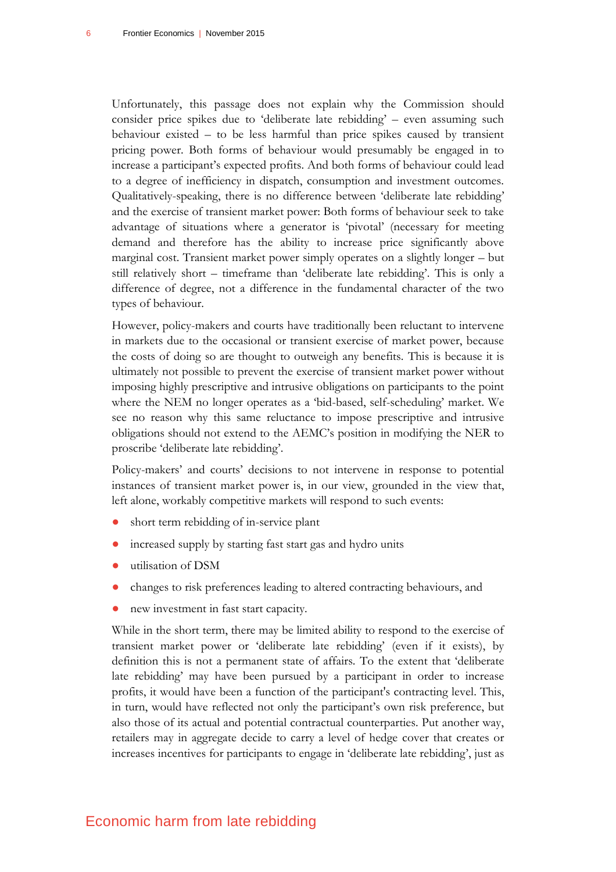Unfortunately, this passage does not explain why the Commission should consider price spikes due to 'deliberate late rebidding' – even assuming such behaviour existed – to be less harmful than price spikes caused by transient pricing power. Both forms of behaviour would presumably be engaged in to increase a participant's expected profits. And both forms of behaviour could lead to a degree of inefficiency in dispatch, consumption and investment outcomes. Qualitatively-speaking, there is no difference between 'deliberate late rebidding' and the exercise of transient market power: Both forms of behaviour seek to take advantage of situations where a generator is 'pivotal' (necessary for meeting demand and therefore has the ability to increase price significantly above marginal cost. Transient market power simply operates on a slightly longer – but still relatively short – timeframe than 'deliberate late rebidding'. This is only a difference of degree, not a difference in the fundamental character of the two types of behaviour.

However, policy-makers and courts have traditionally been reluctant to intervene in markets due to the occasional or transient exercise of market power, because the costs of doing so are thought to outweigh any benefits. This is because it is ultimately not possible to prevent the exercise of transient market power without imposing highly prescriptive and intrusive obligations on participants to the point where the NEM no longer operates as a 'bid-based, self-scheduling' market. We see no reason why this same reluctance to impose prescriptive and intrusive obligations should not extend to the AEMC's position in modifying the NER to proscribe 'deliberate late rebidding'.

Policy-makers' and courts' decisions to not intervene in response to potential instances of transient market power is, in our view, grounded in the view that, left alone, workably competitive markets will respond to such events:

- short term rebidding of in-service plant
- increased supply by starting fast start gas and hydro units
- utilisation of DSM
- changes to risk preferences leading to altered contracting behaviours, and
- new investment in fast start capacity.

While in the short term, there may be limited ability to respond to the exercise of transient market power or 'deliberate late rebidding' (even if it exists), by definition this is not a permanent state of affairs. To the extent that 'deliberate late rebidding' may have been pursued by a participant in order to increase profits, it would have been a function of the participant's contracting level. This, in turn, would have reflected not only the participant's own risk preference, but also those of its actual and potential contractual counterparties. Put another way, retailers may in aggregate decide to carry a level of hedge cover that creates or increases incentives for participants to engage in 'deliberate late rebidding', just as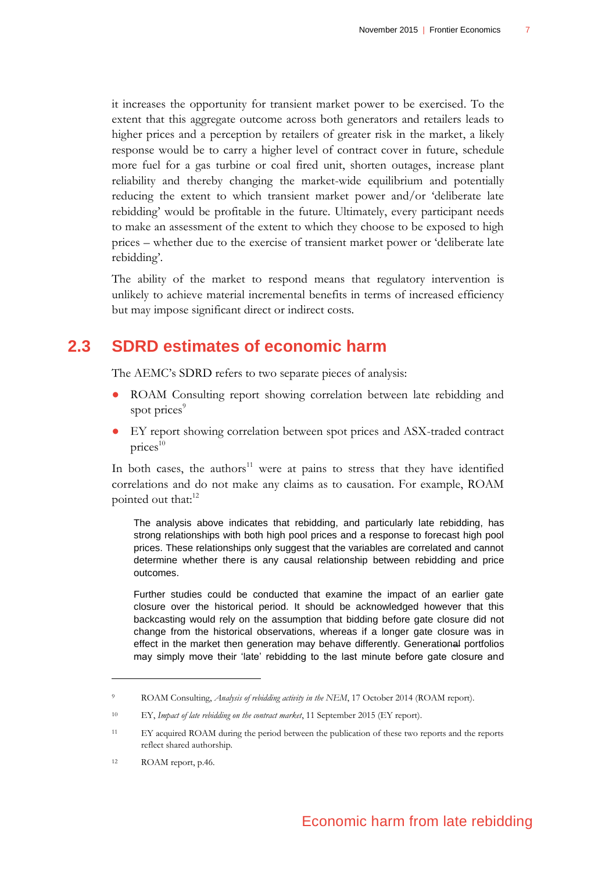it increases the opportunity for transient market power to be exercised. To the extent that this aggregate outcome across both generators and retailers leads to higher prices and a perception by retailers of greater risk in the market, a likely response would be to carry a higher level of contract cover in future, schedule more fuel for a gas turbine or coal fired unit, shorten outages, increase plant reliability and thereby changing the market-wide equilibrium and potentially reducing the extent to which transient market power and/or 'deliberate late rebidding' would be profitable in the future. Ultimately, every participant needs to make an assessment of the extent to which they choose to be exposed to high prices – whether due to the exercise of transient market power or 'deliberate late rebidding'.

The ability of the market to respond means that regulatory intervention is unlikely to achieve material incremental benefits in terms of increased efficiency but may impose significant direct or indirect costs.

### **2.3 SDRD estimates of economic harm**

<span id="page-12-0"></span>The AEMC's SDRD refers to two separate pieces of analysis:

- ROAM Consulting report showing correlation between late rebidding and spot prices<sup>9</sup>
- EY report showing correlation between spot prices and ASX-traded contract prices $10$

In both cases, the authors<sup>11</sup> were at pains to stress that they have identified correlations and do not make any claims as to causation. For example, ROAM pointed out that:<sup>12</sup>

The analysis above indicates that rebidding, and particularly late rebidding, has strong relationships with both high pool prices and a response to forecast high pool prices. These relationships only suggest that the variables are correlated and cannot determine whether there is any causal relationship between rebidding and price outcomes.

Further studies could be conducted that examine the impact of an earlier gate closure over the historical period. It should be acknowledged however that this backcasting would rely on the assumption that bidding before gate closure did not change from the historical observations, whereas if a longer gate closure was in effect in the market then generation may behave differently. Generational portfolios may simply move their 'late' rebidding to the last minute before gate closure and

ROAM Consulting, *Analysis of rebidding activity in the NEM*, 17 October 2014 (ROAM report).

<sup>10</sup> EY, *Impact of late rebidding on the contract market*, 11 September 2015 (EY report).

<sup>11</sup> EY acquired ROAM during the period between the publication of these two reports and the reports reflect shared authorship.

<sup>12</sup> ROAM report, p.46.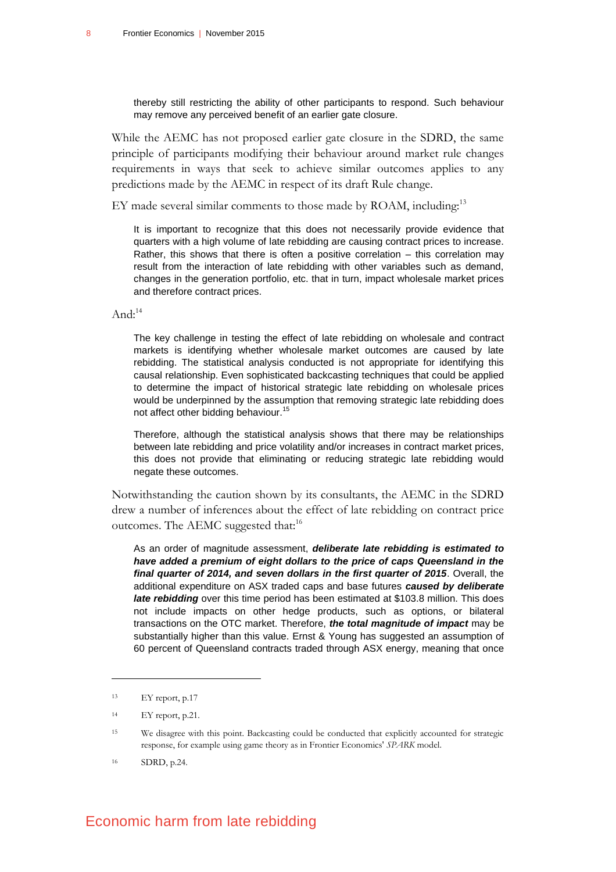thereby still restricting the ability of other participants to respond. Such behaviour may remove any perceived benefit of an earlier gate closure.

While the AEMC has not proposed earlier gate closure in the SDRD, the same principle of participants modifying their behaviour around market rule changes requirements in ways that seek to achieve similar outcomes applies to any predictions made by the AEMC in respect of its draft Rule change.

EY made several similar comments to those made by ROAM, including: $^{13}$ 

It is important to recognize that this does not necessarily provide evidence that quarters with a high volume of late rebidding are causing contract prices to increase. Rather, this shows that there is often a positive correlation – this correlation may result from the interaction of late rebidding with other variables such as demand, changes in the generation portfolio, etc. that in turn, impact wholesale market prices and therefore contract prices.

And: $14$ 

The key challenge in testing the effect of late rebidding on wholesale and contract markets is identifying whether wholesale market outcomes are caused by late rebidding. The statistical analysis conducted is not appropriate for identifying this causal relationship. Even sophisticated backcasting techniques that could be applied to determine the impact of historical strategic late rebidding on wholesale prices would be underpinned by the assumption that removing strategic late rebidding does not affect other bidding behaviour.<sup>15</sup>

Therefore, although the statistical analysis shows that there may be relationships between late rebidding and price volatility and/or increases in contract market prices, this does not provide that eliminating or reducing strategic late rebidding would negate these outcomes.

Notwithstanding the caution shown by its consultants, the AEMC in the SDRD drew a number of inferences about the effect of late rebidding on contract price outcomes. The AEMC suggested that:<sup>16</sup>

As an order of magnitude assessment, *deliberate late rebidding is estimated to have added a premium of eight dollars to the price of caps Queensland in the final quarter of 2014, and seven dollars in the first quarter of 2015*. Overall, the additional expenditure on ASX traded caps and base futures *caused by deliberate late rebidding* over this time period has been estimated at \$103.8 million. This does not include impacts on other hedge products, such as options, or bilateral transactions on the OTC market. Therefore, *the total magnitude of impact* may be substantially higher than this value. Ernst & Young has suggested an assumption of 60 percent of Queensland contracts traded through ASX energy, meaning that once

<sup>13</sup> EY report, p.17

<sup>14</sup> EY report, p.21.

<sup>15</sup> We disagree with this point. Backcasting could be conducted that explicitly accounted for strategic response, for example using game theory as in Frontier Economics' *SPARK* model.

<sup>16</sup> SDRD, p.24.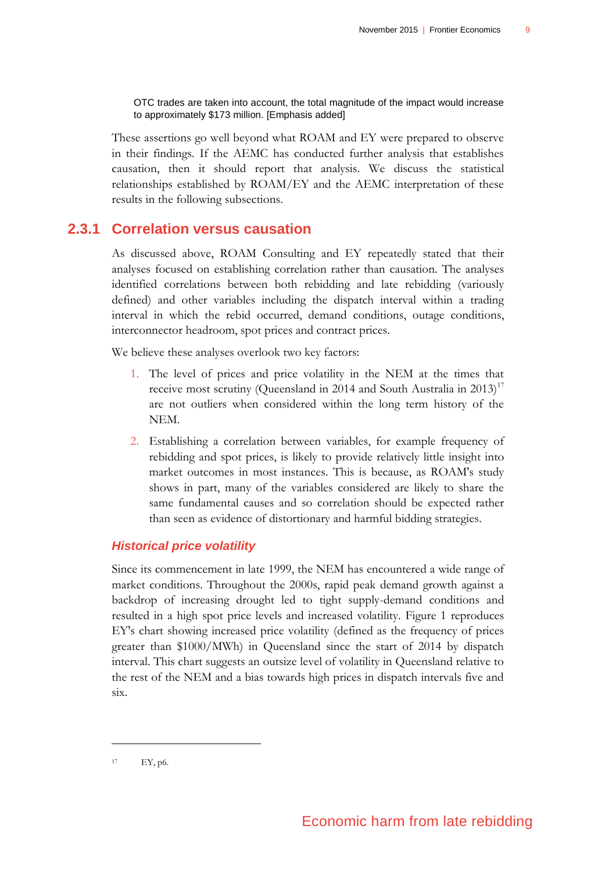OTC trades are taken into account, the total magnitude of the impact would increase to approximately \$173 million. [Emphasis added]

These assertions go well beyond what ROAM and EY were prepared to observe in their findings. If the AEMC has conducted further analysis that establishes causation, then it should report that analysis. We discuss the statistical relationships established by ROAM/EY and the AEMC interpretation of these results in the following subsections.

### **2.3.1 Correlation versus causation**

As discussed above, ROAM Consulting and EY repeatedly stated that their analyses focused on establishing correlation rather than causation. The analyses identified correlations between both rebidding and late rebidding (variously defined) and other variables including the dispatch interval within a trading interval in which the rebid occurred, demand conditions, outage conditions, interconnector headroom, spot prices and contract prices.

We believe these analyses overlook two key factors:

- 1. The level of prices and price volatility in the NEM at the times that receive most scrutiny (Queensland in 2014 and South Australia in  $2013$ )<sup>17</sup> are not outliers when considered within the long term history of the NEM.
- 2. Establishing a correlation between variables, for example frequency of rebidding and spot prices, is likely to provide relatively little insight into market outcomes in most instances. This is because, as ROAM's study shows in part, many of the variables considered are likely to share the same fundamental causes and so correlation should be expected rather than seen as evidence of distortionary and harmful bidding strategies.

#### *Historical price volatility*

Since its commencement in late 1999, the NEM has encountered a wide range of market conditions. Throughout the 2000s, rapid peak demand growth against a backdrop of increasing drought led to tight supply-demand conditions and resulted in a high spot price levels and increased volatility. [Figure 1](#page-15-0) reproduces EY's chart showing increased price volatility (defined as the frequency of prices greater than \$1000/MWh) in Queensland since the start of 2014 by dispatch interval. This chart suggests an outsize level of volatility in Queensland relative to the rest of the NEM and a bias towards high prices in dispatch intervals five and six.

<sup>17</sup> EY, p6.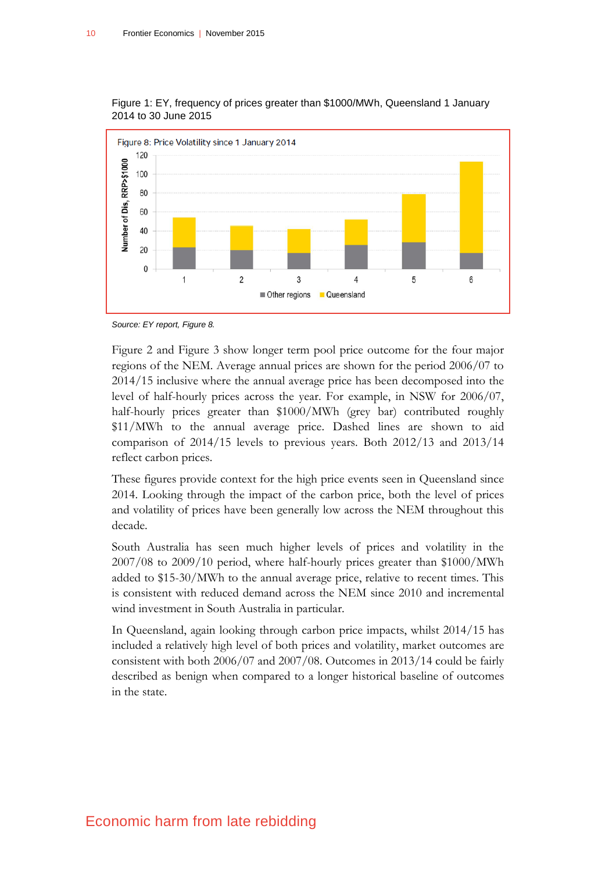

<span id="page-15-0"></span>Figure 1: EY, frequency of prices greater than \$1000/MWh, Queensland 1 January 2014 to 30 June 2015

*Source: EY report, Figure 8.*

[Figure 2](#page-16-0) and [Figure 3](#page-16-1) show longer term pool price outcome for the four major regions of the NEM. Average annual prices are shown for the period 2006/07 to 2014/15 inclusive where the annual average price has been decomposed into the level of half-hourly prices across the year. For example, in NSW for 2006/07, half-hourly prices greater than \$1000/MWh (grey bar) contributed roughly \$11/MWh to the annual average price. Dashed lines are shown to aid comparison of 2014/15 levels to previous years. Both 2012/13 and 2013/14 reflect carbon prices.

These figures provide context for the high price events seen in Queensland since 2014. Looking through the impact of the carbon price, both the level of prices and volatility of prices have been generally low across the NEM throughout this decade.

South Australia has seen much higher levels of prices and volatility in the 2007/08 to 2009/10 period, where half-hourly prices greater than \$1000/MWh added to \$15-30/MWh to the annual average price, relative to recent times. This is consistent with reduced demand across the NEM since 2010 and incremental wind investment in South Australia in particular.

In Queensland, again looking through carbon price impacts, whilst 2014/15 has included a relatively high level of both prices and volatility, market outcomes are consistent with both 2006/07 and 2007/08. Outcomes in 2013/14 could be fairly described as benign when compared to a longer historical baseline of outcomes in the state.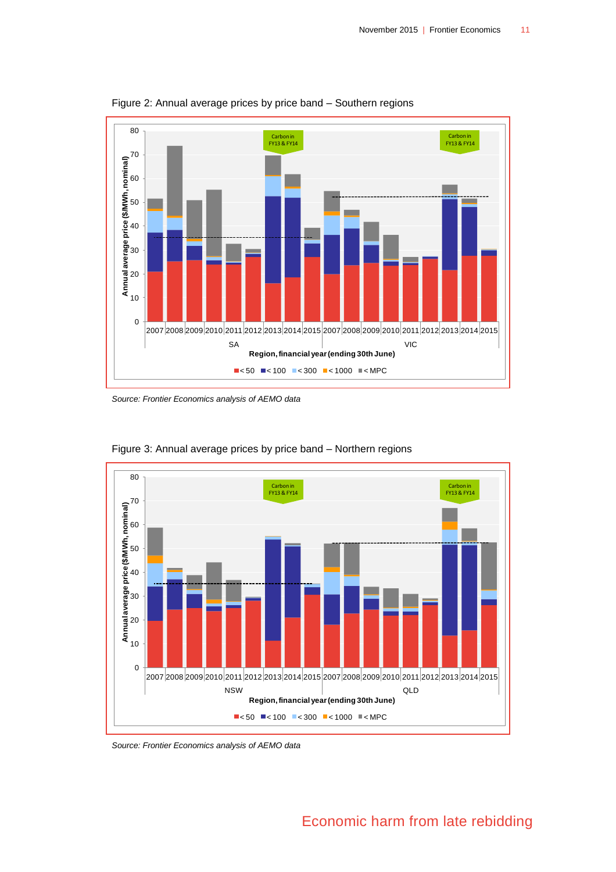

<span id="page-16-0"></span>Figure 2: Annual average prices by price band – Southern regions

*Source: Frontier Economics analysis of AEMO data*



<span id="page-16-1"></span>Figure 3: Annual average prices by price band – Northern regions

*Source: Frontier Economics analysis of AEMO data*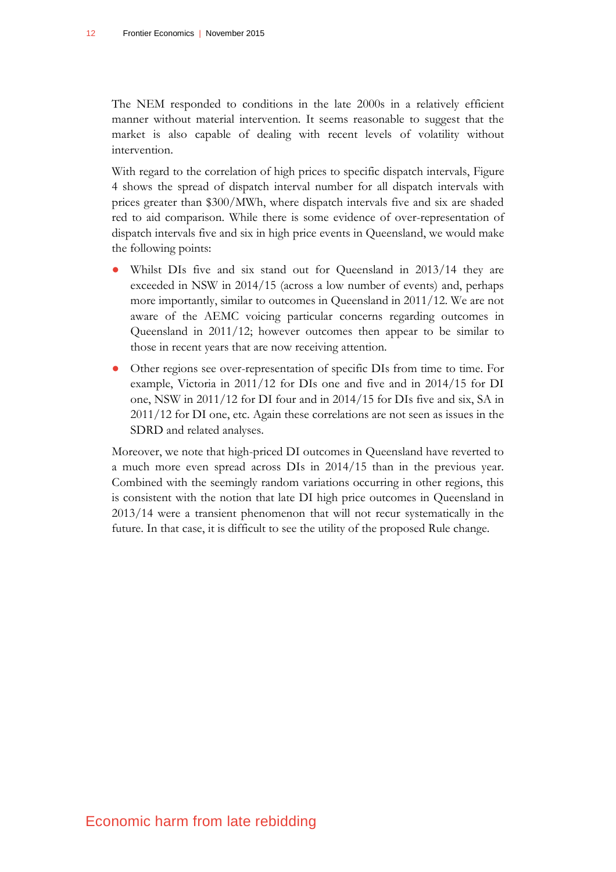The NEM responded to conditions in the late 2000s in a relatively efficient manner without material intervention. It seems reasonable to suggest that the market is also capable of dealing with recent levels of volatility without intervention.

With regard to the correlation of high prices to specific dispatch intervals, [Figure](#page-18-0)  [4](#page-18-0) shows the spread of dispatch interval number for all dispatch intervals with prices greater than \$300/MWh, where dispatch intervals five and six are shaded red to aid comparison. While there is some evidence of over-representation of dispatch intervals five and six in high price events in Queensland, we would make the following points:

- Whilst DIs five and six stand out for Queensland in 2013/14 they are exceeded in NSW in 2014/15 (across a low number of events) and, perhaps more importantly, similar to outcomes in Queensland in 2011/12. We are not aware of the AEMC voicing particular concerns regarding outcomes in Queensland in 2011/12; however outcomes then appear to be similar to those in recent years that are now receiving attention.
- Other regions see over-representation of specific DIs from time to time. For example, Victoria in 2011/12 for DIs one and five and in 2014/15 for DI one, NSW in 2011/12 for DI four and in 2014/15 for DIs five and six, SA in 2011/12 for DI one, etc. Again these correlations are not seen as issues in the SDRD and related analyses.

Moreover, we note that high-priced DI outcomes in Queensland have reverted to a much more even spread across DIs in 2014/15 than in the previous year. Combined with the seemingly random variations occurring in other regions, this is consistent with the notion that late DI high price outcomes in Queensland in 2013/14 were a transient phenomenon that will not recur systematically in the future. In that case, it is difficult to see the utility of the proposed Rule change.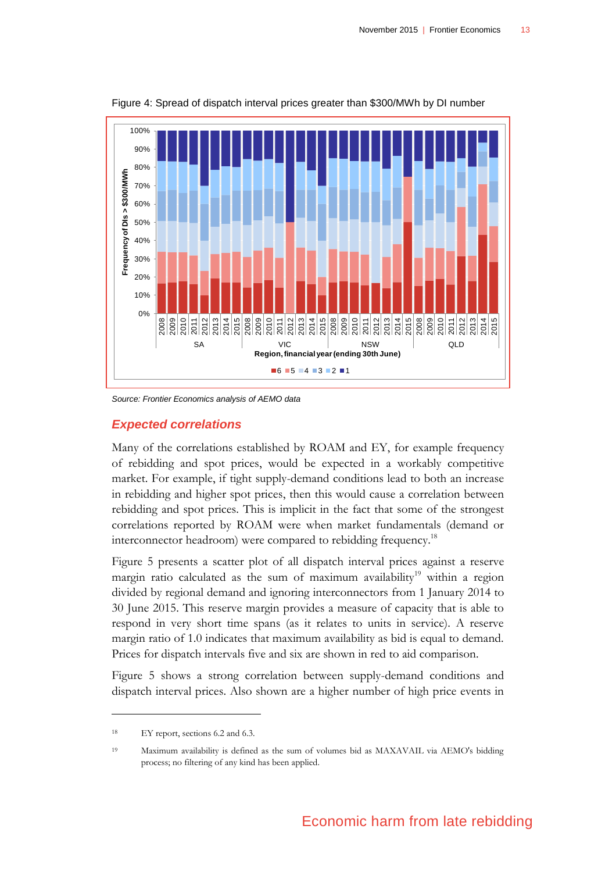

<span id="page-18-0"></span>Figure 4: Spread of dispatch interval prices greater than \$300/MWh by DI number

*Source: Frontier Economics analysis of AEMO data*

#### *Expected correlations*

Many of the correlations established by ROAM and EY, for example frequency of rebidding and spot prices, would be expected in a workably competitive market. For example, if tight supply-demand conditions lead to both an increase in rebidding and higher spot prices, then this would cause a correlation between rebidding and spot prices. This is implicit in the fact that some of the strongest correlations reported by ROAM were when market fundamentals (demand or interconnector headroom) were compared to rebidding frequency.<sup>18</sup>

[Figure 5](#page-20-0) presents a scatter plot of all dispatch interval prices against a reserve margin ratio calculated as the sum of maximum availability<sup>19</sup> within a region divided by regional demand and ignoring interconnectors from 1 January 2014 to 30 June 2015. This reserve margin provides a measure of capacity that is able to respond in very short time spans (as it relates to units in service). A reserve margin ratio of 1.0 indicates that maximum availability as bid is equal to demand. Prices for dispatch intervals five and six are shown in red to aid comparison.

[Figure 5](#page-20-0) shows a strong correlation between supply-demand conditions and dispatch interval prices. Also shown are a higher number of high price events in

<sup>&</sup>lt;sup>18</sup> EY report, sections 6.2 and 6.3.

<sup>19</sup> Maximum availability is defined as the sum of volumes bid as MAXAVAIL via AEMO's bidding process; no filtering of any kind has been applied.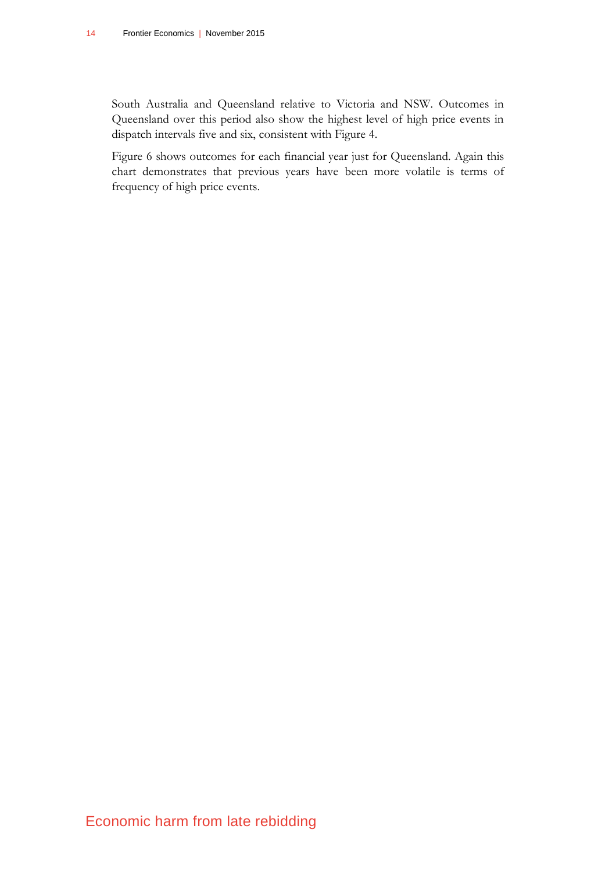South Australia and Queensland relative to Victoria and NSW. Outcomes in Queensland over this period also show the highest level of high price events in dispatch intervals five and six, consistent with [Figure 4.](#page-18-0)

[Figure 6](#page-21-0) shows outcomes for each financial year just for Queensland. Again this chart demonstrates that previous years have been more volatile is terms of frequency of high price events.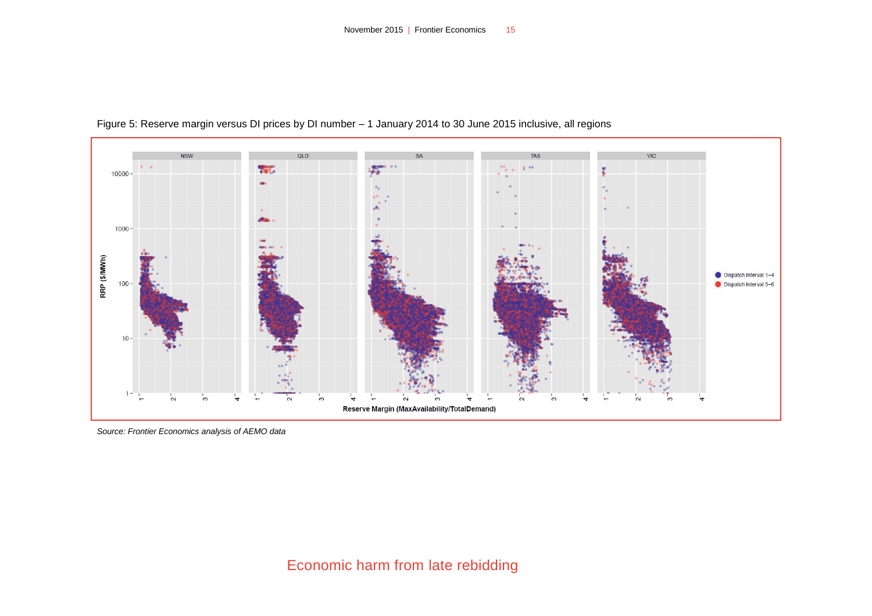

Figure 5: Reserve margin versus DI prices by DI number – 1 January 2014 to 30 June 2015 inclusive, all regions

<span id="page-20-0"></span>*Source: Frontier Economics analysis of AEMO data*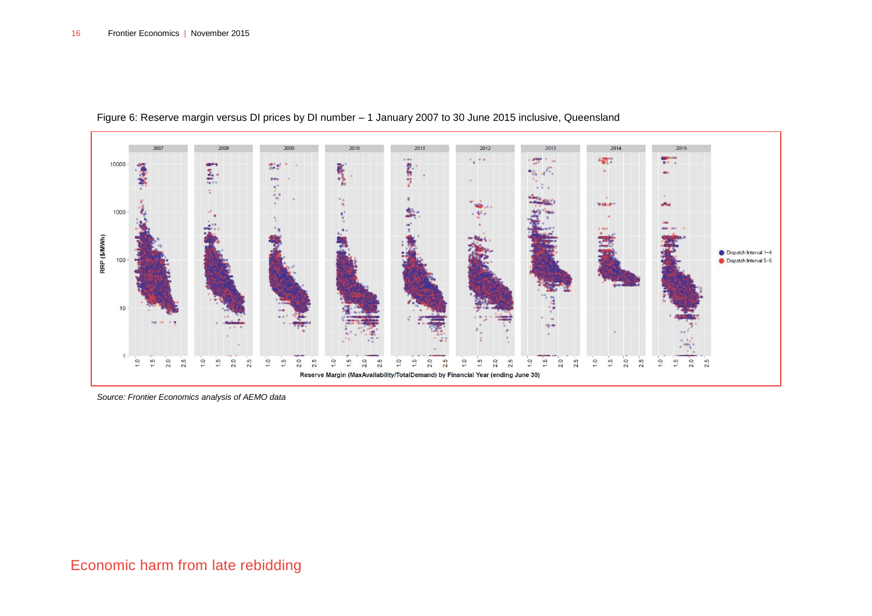

Figure 6: Reserve margin versus DI prices by DI number – 1 January 2007 to 30 June 2015 inclusive, Queensland

<span id="page-21-0"></span>*Source: Frontier Economics analysis of AEMO data*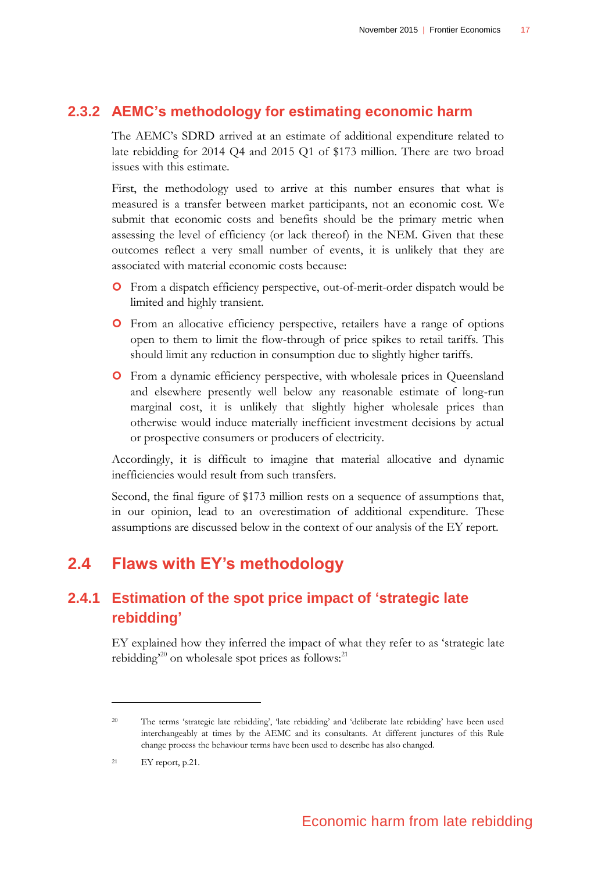### **2.3.2 AEMC's methodology for estimating economic harm**

The AEMC's SDRD arrived at an estimate of additional expenditure related to late rebidding for 2014 Q4 and 2015 Q1 of \$173 million. There are two broad issues with this estimate.

First, the methodology used to arrive at this number ensures that what is measured is a transfer between market participants, not an economic cost. We submit that economic costs and benefits should be the primary metric when assessing the level of efficiency (or lack thereof) in the NEM. Given that these outcomes reflect a very small number of events, it is unlikely that they are associated with material economic costs because:

- From a dispatch efficiency perspective, out-of-merit-order dispatch would be limited and highly transient.
- From an allocative efficiency perspective, retailers have a range of options open to them to limit the flow-through of price spikes to retail tariffs. This should limit any reduction in consumption due to slightly higher tariffs.
- From a dynamic efficiency perspective, with wholesale prices in Queensland and elsewhere presently well below any reasonable estimate of long-run marginal cost, it is unlikely that slightly higher wholesale prices than otherwise would induce materially inefficient investment decisions by actual or prospective consumers or producers of electricity.

Accordingly, it is difficult to imagine that material allocative and dynamic inefficiencies would result from such transfers.

Second, the final figure of \$173 million rests on a sequence of assumptions that, in our opinion, lead to an overestimation of additional expenditure. These assumptions are discussed below in the context of our analysis of the EY report.

### <span id="page-22-0"></span>**2.4 Flaws with EY's methodology**

### **2.4.1 Estimation of the spot price impact of 'strategic late rebidding'**

EY explained how they inferred the impact of what they refer to as 'strategic late rebidding<sup>20</sup> on wholesale spot prices as follows:<sup>21</sup>

<sup>20</sup> The terms 'strategic late rebidding', 'late rebidding' and 'deliberate late rebidding' have been used interchangeably at times by the AEMC and its consultants. At different junctures of this Rule change process the behaviour terms have been used to describe has also changed.

<sup>21</sup> EY report, p.21.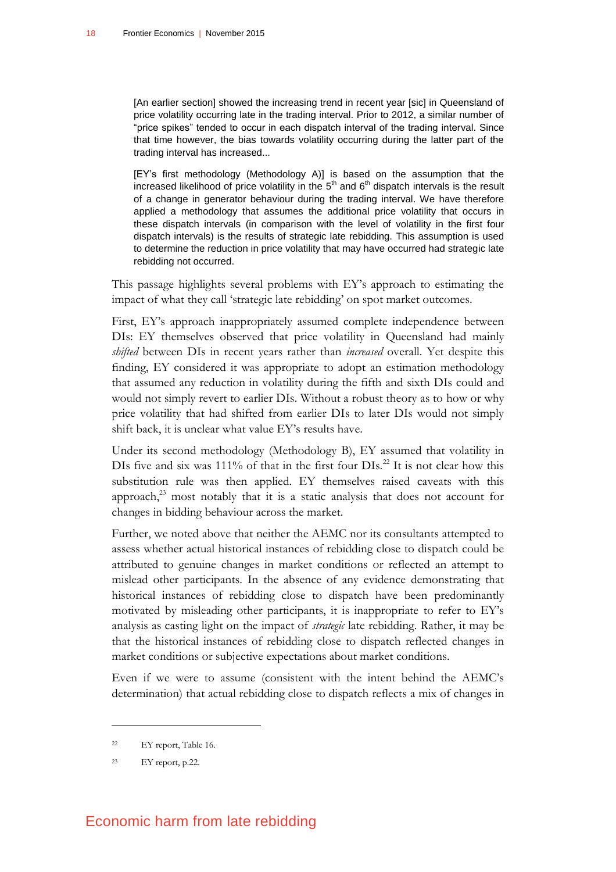[An earlier section] showed the increasing trend in recent year [sic] in Queensland of price volatility occurring late in the trading interval. Prior to 2012, a similar number of "price spikes" tended to occur in each dispatch interval of the trading interval. Since that time however, the bias towards volatility occurring during the latter part of the trading interval has increased...

[EY's first methodology (Methodology A)] is based on the assumption that the increased likelihood of price volatility in the  $5<sup>th</sup>$  and  $6<sup>th</sup>$  dispatch intervals is the result of a change in generator behaviour during the trading interval. We have therefore applied a methodology that assumes the additional price volatility that occurs in these dispatch intervals (in comparison with the level of volatility in the first four dispatch intervals) is the results of strategic late rebidding. This assumption is used to determine the reduction in price volatility that may have occurred had strategic late rebidding not occurred.

This passage highlights several problems with EY's approach to estimating the impact of what they call 'strategic late rebidding' on spot market outcomes.

First, EY's approach inappropriately assumed complete independence between DIs: EY themselves observed that price volatility in Queensland had mainly *shifted* between DIs in recent years rather than *increased* overall. Yet despite this finding, EY considered it was appropriate to adopt an estimation methodology that assumed any reduction in volatility during the fifth and sixth DIs could and would not simply revert to earlier DIs. Without a robust theory as to how or why price volatility that had shifted from earlier DIs to later DIs would not simply shift back, it is unclear what value EY's results have.

Under its second methodology (Methodology B), EY assumed that volatility in DIs five and six was 111% of that in the first four DIs.<sup>22</sup> It is not clear how this substitution rule was then applied. EY themselves raised caveats with this approach, $^{23}$  most notably that it is a static analysis that does not account for changes in bidding behaviour across the market.

Further, we noted above that neither the AEMC nor its consultants attempted to assess whether actual historical instances of rebidding close to dispatch could be attributed to genuine changes in market conditions or reflected an attempt to mislead other participants. In the absence of any evidence demonstrating that historical instances of rebidding close to dispatch have been predominantly motivated by misleading other participants, it is inappropriate to refer to EY's analysis as casting light on the impact of *strategic* late rebidding. Rather, it may be that the historical instances of rebidding close to dispatch reflected changes in market conditions or subjective expectations about market conditions.

Even if we were to assume (consistent with the intent behind the AEMC's determination) that actual rebidding close to dispatch reflects a mix of changes in

<sup>22</sup> EY report, Table 16.

<sup>23</sup> EY report, p.22.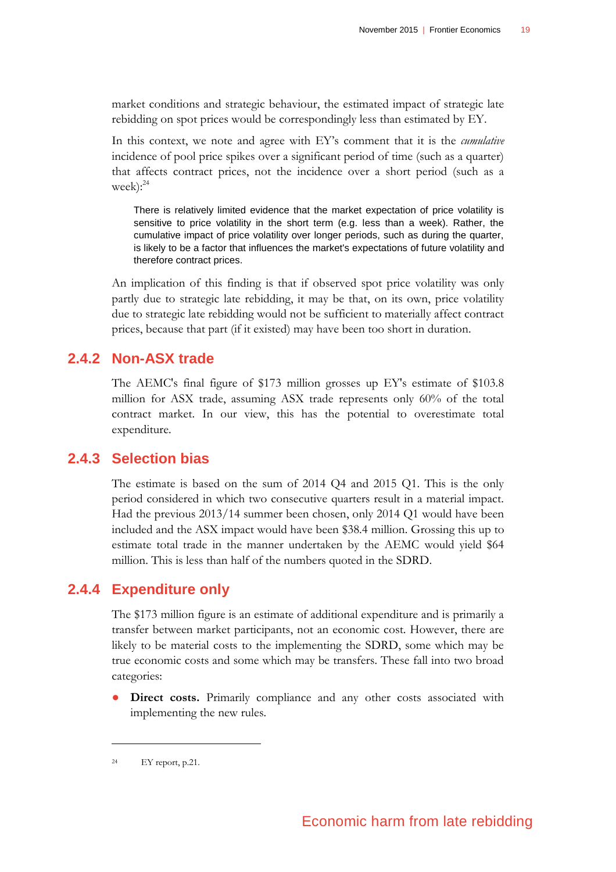market conditions and strategic behaviour, the estimated impact of strategic late rebidding on spot prices would be correspondingly less than estimated by EY.

In this context, we note and agree with EY's comment that it is the *cumulative* incidence of pool price spikes over a significant period of time (such as a quarter) that affects contract prices, not the incidence over a short period (such as a week): 24

There is relatively limited evidence that the market expectation of price volatility is sensitive to price volatility in the short term (e.g. less than a week). Rather, the cumulative impact of price volatility over longer periods, such as during the quarter, is likely to be a factor that influences the market's expectations of future volatility and therefore contract prices.

An implication of this finding is that if observed spot price volatility was only partly due to strategic late rebidding, it may be that, on its own, price volatility due to strategic late rebidding would not be sufficient to materially affect contract prices, because that part (if it existed) may have been too short in duration.

### **2.4.2 Non-ASX trade**

The AEMC's final figure of \$173 million grosses up EY's estimate of \$103.8 million for ASX trade, assuming ASX trade represents only 60% of the total contract market. In our view, this has the potential to overestimate total expenditure.

### **2.4.3 Selection bias**

The estimate is based on the sum of 2014 Q4 and 2015 Q1. This is the only period considered in which two consecutive quarters result in a material impact. Had the previous 2013/14 summer been chosen, only 2014 Q1 would have been included and the ASX impact would have been \$38.4 million. Grossing this up to estimate total trade in the manner undertaken by the AEMC would yield \$64 million. This is less than half of the numbers quoted in the SDRD.

### **2.4.4 Expenditure only**

The \$173 million figure is an estimate of additional expenditure and is primarily a transfer between market participants, not an economic cost. However, there are likely to be material costs to the implementing the SDRD, some which may be true economic costs and some which may be transfers. These fall into two broad categories:

**Direct costs.** Primarily compliance and any other costs associated with implementing the new rules.

<sup>24</sup> EY report, p.21.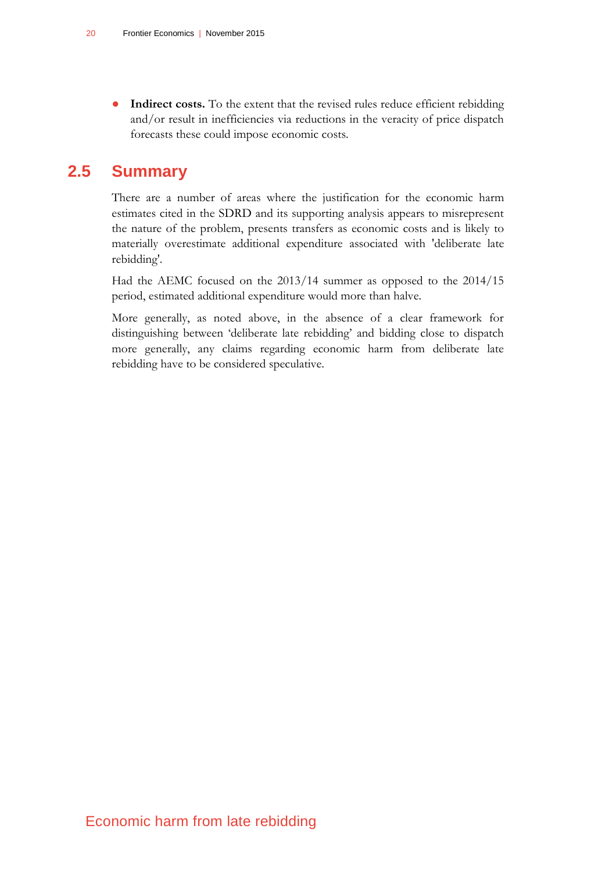**Indirect costs.** To the extent that the revised rules reduce efficient rebidding and/or result in inefficiencies via reductions in the veracity of price dispatch forecasts these could impose economic costs.

### **2.5 Summary**

<span id="page-25-0"></span>There are a number of areas where the justification for the economic harm estimates cited in the SDRD and its supporting analysis appears to misrepresent the nature of the problem, presents transfers as economic costs and is likely to materially overestimate additional expenditure associated with 'deliberate late rebidding'.

Had the AEMC focused on the 2013/14 summer as opposed to the 2014/15 period, estimated additional expenditure would more than halve.

More generally, as noted above, in the absence of a clear framework for distinguishing between 'deliberate late rebidding' and bidding close to dispatch more generally, any claims regarding economic harm from deliberate late rebidding have to be considered speculative.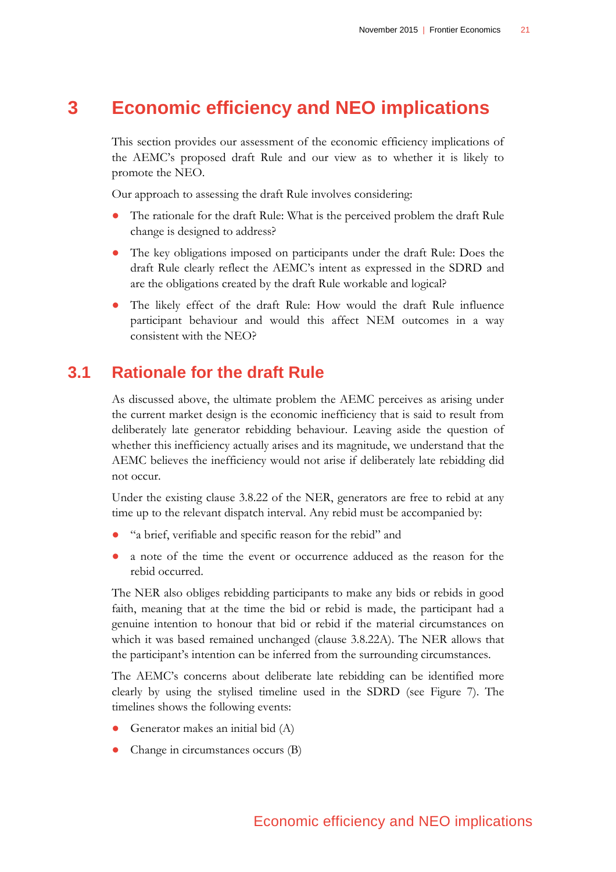# **3 Economic efficiency and NEO implications**

<span id="page-26-0"></span>This section provides our assessment of the economic efficiency implications of the AEMC's proposed draft Rule and our view as to whether it is likely to promote the NEO.

Our approach to assessing the draft Rule involves considering:

- The rationale for the draft Rule: What is the perceived problem the draft Rule change is designed to address?
- The key obligations imposed on participants under the draft Rule: Does the draft Rule clearly reflect the AEMC's intent as expressed in the SDRD and are the obligations created by the draft Rule workable and logical?
- The likely effect of the draft Rule: How would the draft Rule influence participant behaviour and would this affect NEM outcomes in a way consistent with the NEO?

### **3.1 Rationale for the draft Rule**

<span id="page-26-1"></span>As discussed above, the ultimate problem the AEMC perceives as arising under the current market design is the economic inefficiency that is said to result from deliberately late generator rebidding behaviour. Leaving aside the question of whether this inefficiency actually arises and its magnitude, we understand that the AEMC believes the inefficiency would not arise if deliberately late rebidding did not occur.

Under the existing clause 3.8.22 of the NER, generators are free to rebid at any time up to the relevant dispatch interval. Any rebid must be accompanied by:

- "a brief, verifiable and specific reason for the rebid" and
- a note of the time the event or occurrence adduced as the reason for the rebid occurred.

The NER also obliges rebidding participants to make any bids or rebids in good faith, meaning that at the time the bid or rebid is made, the participant had a genuine intention to honour that bid or rebid if the material circumstances on which it was based remained unchanged (clause 3.8.22A). The NER allows that the participant's intention can be inferred from the surrounding circumstances.

The AEMC's concerns about deliberate late rebidding can be identified more clearly by using the stylised timeline used in the SDRD (see [Figure 7\)](#page-27-0). The timelines shows the following events:

- Generator makes an initial bid  $(A)$
- Change in circumstances occurs (B)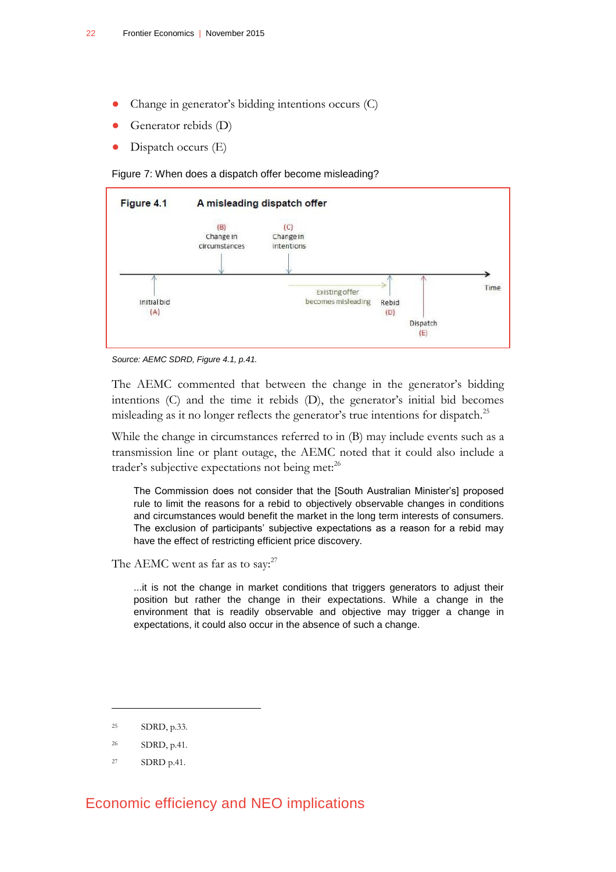- Change in generator's bidding intentions occurs  $(C)$
- Generator rebids (D)
- Dispatch occurs  $(E)$

<span id="page-27-0"></span>Figure 7: When does a dispatch offer become misleading?





The AEMC commented that between the change in the generator's bidding intentions (C) and the time it rebids (D), the generator's initial bid becomes misleading as it no longer reflects the generator's true intentions for dispatch.<sup>25</sup>

While the change in circumstances referred to in (B) may include events such as a transmission line or plant outage, the AEMC noted that it could also include a trader's subjective expectations not being met:<sup>26</sup>

The Commission does not consider that the [South Australian Minister's] proposed rule to limit the reasons for a rebid to objectively observable changes in conditions and circumstances would benefit the market in the long term interests of consumers. The exclusion of participants' subjective expectations as a reason for a rebid may have the effect of restricting efficient price discovery.

The AEMC went as far as to say: $27$ 

...it is not the change in market conditions that triggers generators to adjust their position but rather the change in their expectations. While a change in the environment that is readily observable and objective may trigger a change in expectations, it could also occur in the absence of such a change.

 $\overline{a}$ 

- <sup>26</sup> SDRD, p.41.
- <sup>27</sup> SDRD p.41.

Economic efficiency and NEO implications

<sup>25</sup> SDRD, p.33.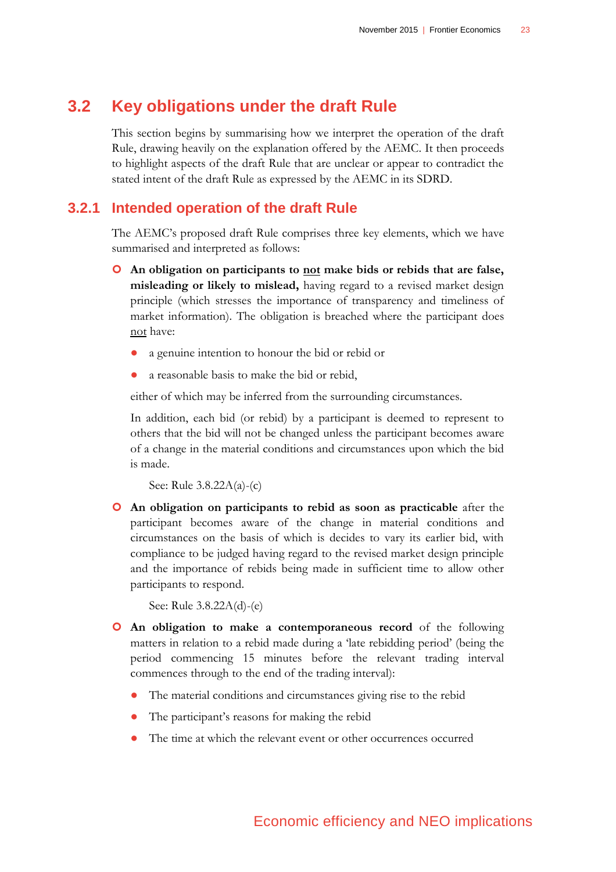### **3.2 Key obligations under the draft Rule**

<span id="page-28-0"></span>This section begins by summarising how we interpret the operation of the draft Rule, drawing heavily on the explanation offered by the AEMC. It then proceeds to highlight aspects of the draft Rule that are unclear or appear to contradict the stated intent of the draft Rule as expressed by the AEMC in its SDRD.

#### **3.2.1 Intended operation of the draft Rule**

The AEMC's proposed draft Rule comprises three key elements, which we have summarised and interpreted as follows:

- **An obligation on participants to not make bids or rebids that are false, misleading or likely to mislead,** having regard to a revised market design principle (which stresses the importance of transparency and timeliness of market information). The obligation is breached where the participant does not have:
	- a genuine intention to honour the bid or rebid or
	- a reasonable basis to make the bid or rebid.

either of which may be inferred from the surrounding circumstances.

In addition, each bid (or rebid) by a participant is deemed to represent to others that the bid will not be changed unless the participant becomes aware of a change in the material conditions and circumstances upon which the bid is made.

See: Rule 3.8.22A(a)-(c)

 **An obligation on participants to rebid as soon as practicable** after the participant becomes aware of the change in material conditions and circumstances on the basis of which is decides to vary its earlier bid, with compliance to be judged having regard to the revised market design principle and the importance of rebids being made in sufficient time to allow other participants to respond.

See: Rule 3.8.22A(d)-(e)

- **An obligation to make a contemporaneous record** of the following matters in relation to a rebid made during a 'late rebidding period' (being the period commencing 15 minutes before the relevant trading interval commences through to the end of the trading interval):
	- The material conditions and circumstances giving rise to the rebid
	- The participant's reasons for making the rebid
	- The time at which the relevant event or other occurrences occurred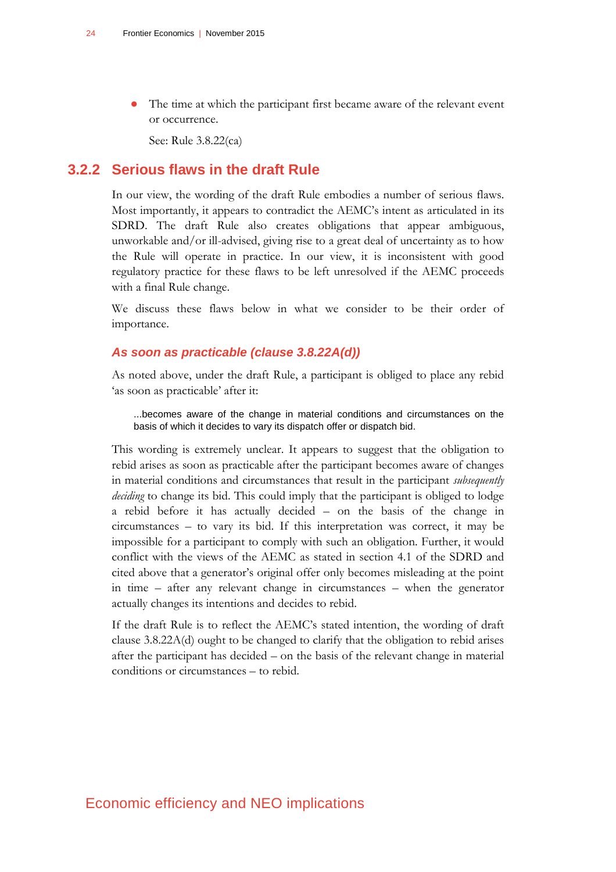The time at which the participant first became aware of the relevant event or occurrence.

See: Rule 3.8.22(ca)

### **3.2.2 Serious flaws in the draft Rule**

In our view, the wording of the draft Rule embodies a number of serious flaws. Most importantly, it appears to contradict the AEMC's intent as articulated in its SDRD. The draft Rule also creates obligations that appear ambiguous, unworkable and/or ill-advised, giving rise to a great deal of uncertainty as to how the Rule will operate in practice. In our view, it is inconsistent with good regulatory practice for these flaws to be left unresolved if the AEMC proceeds with a final Rule change.

We discuss these flaws below in what we consider to be their order of importance.

#### *As soon as practicable (clause 3.8.22A(d))*

As noted above, under the draft Rule, a participant is obliged to place any rebid 'as soon as practicable' after it:

...becomes aware of the change in material conditions and circumstances on the basis of which it decides to vary its dispatch offer or dispatch bid.

This wording is extremely unclear. It appears to suggest that the obligation to rebid arises as soon as practicable after the participant becomes aware of changes in material conditions and circumstances that result in the participant *subsequently deciding* to change its bid. This could imply that the participant is obliged to lodge a rebid before it has actually decided – on the basis of the change in circumstances – to vary its bid. If this interpretation was correct, it may be impossible for a participant to comply with such an obligation. Further, it would conflict with the views of the AEMC as stated in section 4.1 of the SDRD and cited above that a generator's original offer only becomes misleading at the point in time – after any relevant change in circumstances – when the generator actually changes its intentions and decides to rebid.

If the draft Rule is to reflect the AEMC's stated intention, the wording of draft clause 3.8.22A(d) ought to be changed to clarify that the obligation to rebid arises after the participant has decided – on the basis of the relevant change in material conditions or circumstances – to rebid.

#### Economic efficiency and NEO implications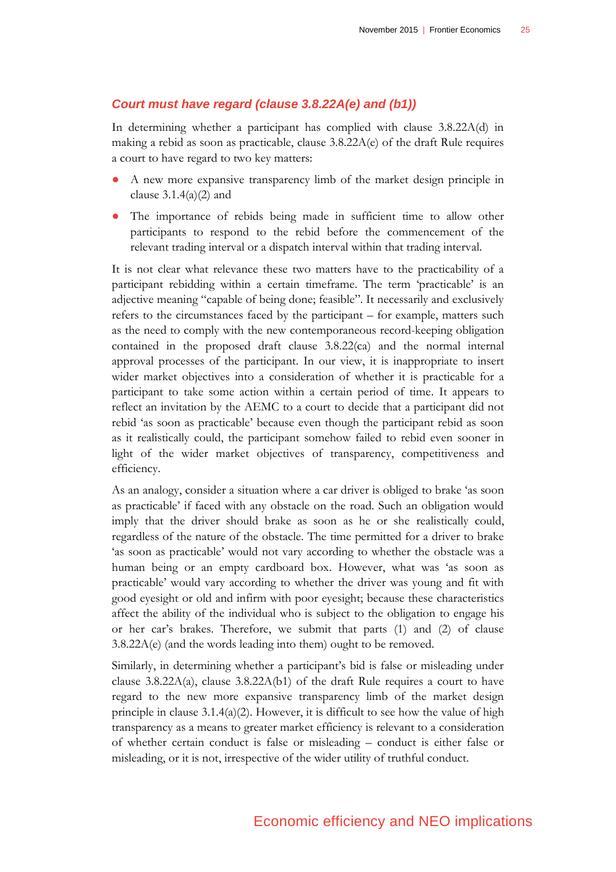#### *Court must have regard (clause 3.8.22A(e) and (b1))*

In determining whether a participant has complied with clause 3.8.22A(d) in making a rebid as soon as practicable, clause 3.8.22A(e) of the draft Rule requires a court to have regard to two key matters:

- A new more expansive transparency limb of the market design principle in clause  $3.1.4(a)(2)$  and
- The importance of rebids being made in sufficient time to allow other participants to respond to the rebid before the commencement of the relevant trading interval or a dispatch interval within that trading interval.

It is not clear what relevance these two matters have to the practicability of a participant rebidding within a certain timeframe. The term 'practicable' is an adjective meaning "capable of being done; feasible". It necessarily and exclusively refers to the circumstances faced by the participant – for example, matters such as the need to comply with the new contemporaneous record-keeping obligation contained in the proposed draft clause 3.8.22(ca) and the normal internal approval processes of the participant. In our view, it is inappropriate to insert wider market objectives into a consideration of whether it is practicable for a participant to take some action within a certain period of time. It appears to reflect an invitation by the AEMC to a court to decide that a participant did not rebid 'as soon as practicable' because even though the participant rebid as soon as it realistically could, the participant somehow failed to rebid even sooner in light of the wider market objectives of transparency, competitiveness and efficiency.

As an analogy, consider a situation where a car driver is obliged to brake 'as soon as practicable' if faced with any obstacle on the road. Such an obligation would imply that the driver should brake as soon as he or she realistically could, regardless of the nature of the obstacle. The time permitted for a driver to brake 'as soon as practicable' would not vary according to whether the obstacle was a human being or an empty cardboard box. However, what was 'as soon as practicable' would vary according to whether the driver was young and fit with good eyesight or old and infirm with poor eyesight; because these characteristics affect the ability of the individual who is subject to the obligation to engage his or her car's brakes. Therefore, we submit that parts (1) and (2) of clause 3.8.22A(e) (and the words leading into them) ought to be removed.

Similarly, in determining whether a participant's bid is false or misleading under clause 3.8.22A(a), clause 3.8.22A(b1) of the draft Rule requires a court to have regard to the new more expansive transparency limb of the market design principle in clause  $3.1.4(a)(2)$ . However, it is difficult to see how the value of high transparency as a means to greater market efficiency is relevant to a consideration of whether certain conduct is false or misleading – conduct is either false or misleading, or it is not, irrespective of the wider utility of truthful conduct.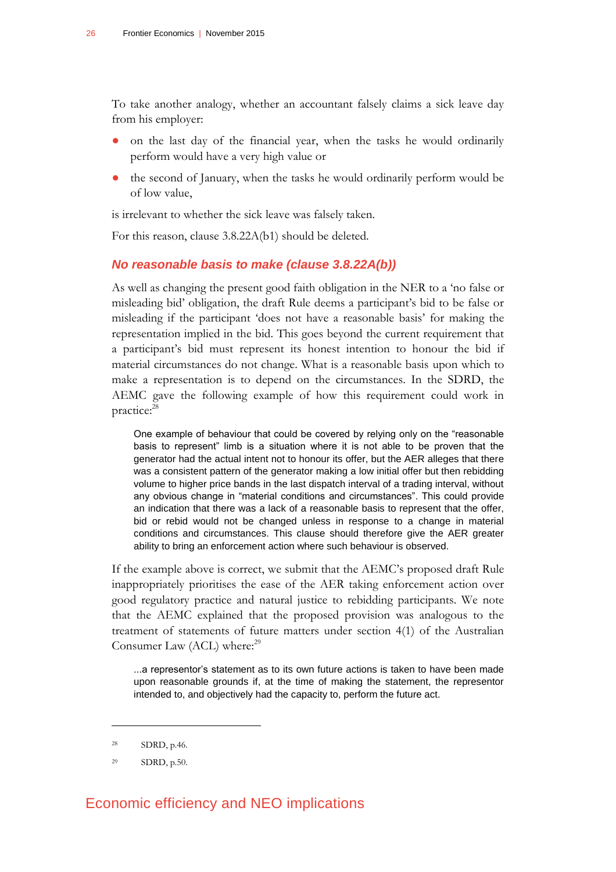To take another analogy, whether an accountant falsely claims a sick leave day from his employer:

- on the last day of the financial year, when the tasks he would ordinarily perform would have a very high value or
- the second of January, when the tasks he would ordinarily perform would be of low value,

is irrelevant to whether the sick leave was falsely taken.

For this reason, clause 3.8.22A(b1) should be deleted.

#### *No reasonable basis to make (clause 3.8.22A(b))*

As well as changing the present good faith obligation in the NER to a 'no false or misleading bid' obligation, the draft Rule deems a participant's bid to be false or misleading if the participant 'does not have a reasonable basis' for making the representation implied in the bid. This goes beyond the current requirement that a participant's bid must represent its honest intention to honour the bid if material circumstances do not change. What is a reasonable basis upon which to make a representation is to depend on the circumstances. In the SDRD, the AEMC gave the following example of how this requirement could work in practice: 28

One example of behaviour that could be covered by relying only on the "reasonable basis to represent" limb is a situation where it is not able to be proven that the generator had the actual intent not to honour its offer, but the AER alleges that there was a consistent pattern of the generator making a low initial offer but then rebidding volume to higher price bands in the last dispatch interval of a trading interval, without any obvious change in "material conditions and circumstances". This could provide an indication that there was a lack of a reasonable basis to represent that the offer, bid or rebid would not be changed unless in response to a change in material conditions and circumstances. This clause should therefore give the AER greater ability to bring an enforcement action where such behaviour is observed.

If the example above is correct, we submit that the AEMC's proposed draft Rule inappropriately prioritises the ease of the AER taking enforcement action over good regulatory practice and natural justice to rebidding participants. We note that the AEMC explained that the proposed provision was analogous to the treatment of statements of future matters under section 4(1) of the Australian Consumer Law (ACL) where: $29$ 

...a representor's statement as to its own future actions is taken to have been made upon reasonable grounds if, at the time of making the statement, the representor intended to, and objectively had the capacity to, perform the future act.

 $\overline{a}$ 

### Economic efficiency and NEO implications

<sup>28</sup> SDRD, p.46.

<sup>29</sup> SDRD, p.50.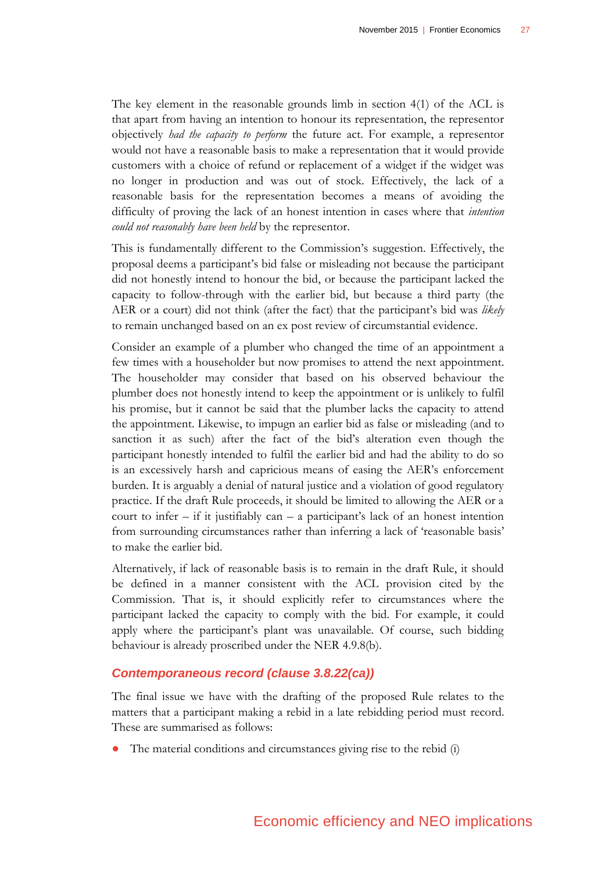The key element in the reasonable grounds limb in section 4(1) of the ACL is that apart from having an intention to honour its representation, the representor objectively *had the capacity to perform* the future act. For example, a representor would not have a reasonable basis to make a representation that it would provide customers with a choice of refund or replacement of a widget if the widget was no longer in production and was out of stock. Effectively, the lack of a reasonable basis for the representation becomes a means of avoiding the difficulty of proving the lack of an honest intention in cases where that *intention could not reasonably have been held* by the representor.

This is fundamentally different to the Commission's suggestion. Effectively, the proposal deems a participant's bid false or misleading not because the participant did not honestly intend to honour the bid, or because the participant lacked the capacity to follow-through with the earlier bid, but because a third party (the AER or a court) did not think (after the fact) that the participant's bid was *likely* to remain unchanged based on an ex post review of circumstantial evidence.

Consider an example of a plumber who changed the time of an appointment a few times with a householder but now promises to attend the next appointment. The householder may consider that based on his observed behaviour the plumber does not honestly intend to keep the appointment or is unlikely to fulfil his promise, but it cannot be said that the plumber lacks the capacity to attend the appointment. Likewise, to impugn an earlier bid as false or misleading (and to sanction it as such) after the fact of the bid's alteration even though the participant honestly intended to fulfil the earlier bid and had the ability to do so is an excessively harsh and capricious means of easing the AER's enforcement burden. It is arguably a denial of natural justice and a violation of good regulatory practice. If the draft Rule proceeds, it should be limited to allowing the AER or a court to infer – if it justifiably can – a participant's lack of an honest intention from surrounding circumstances rather than inferring a lack of 'reasonable basis' to make the earlier bid.

Alternatively, if lack of reasonable basis is to remain in the draft Rule, it should be defined in a manner consistent with the ACL provision cited by the Commission. That is, it should explicitly refer to circumstances where the participant lacked the capacity to comply with the bid. For example, it could apply where the participant's plant was unavailable. Of course, such bidding behaviour is already proscribed under the NER 4.9.8(b).

#### *Contemporaneous record (clause 3.8.22(ca))*

The final issue we have with the drafting of the proposed Rule relates to the matters that a participant making a rebid in a late rebidding period must record. These are summarised as follows:

The material conditions and circumstances giving rise to the rebid (i)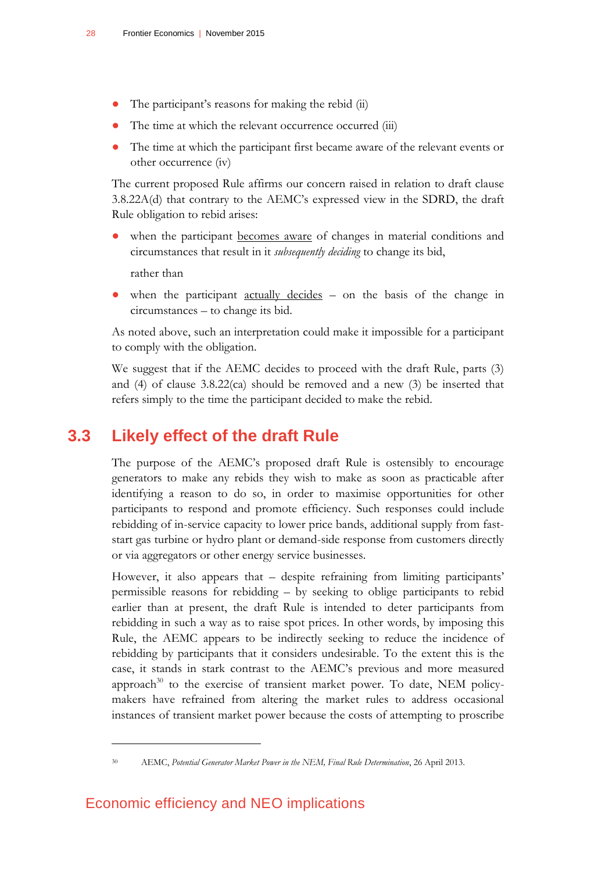- The participant's reasons for making the rebid (ii)
- The time at which the relevant occurrence occurred (iii)
- The time at which the participant first became aware of the relevant events or other occurrence (iv)

The current proposed Rule affirms our concern raised in relation to draft clause 3.8.22A(d) that contrary to the AEMC's expressed view in the SDRD, the draft Rule obligation to rebid arises:

when the participant becomes aware of changes in material conditions and circumstances that result in it *subsequently deciding* to change its bid,

rather than

• when the participant actually decides – on the basis of the change in circumstances – to change its bid.

As noted above, such an interpretation could make it impossible for a participant to comply with the obligation.

We suggest that if the AEMC decides to proceed with the draft Rule, parts (3) and (4) of clause 3.8.22(ca) should be removed and a new (3) be inserted that refers simply to the time the participant decided to make the rebid.

### <span id="page-33-0"></span>**3.3 Likely effect of the draft Rule**

The purpose of the AEMC's proposed draft Rule is ostensibly to encourage generators to make any rebids they wish to make as soon as practicable after identifying a reason to do so, in order to maximise opportunities for other participants to respond and promote efficiency. Such responses could include rebidding of in-service capacity to lower price bands, additional supply from faststart gas turbine or hydro plant or demand-side response from customers directly or via aggregators or other energy service businesses.

However, it also appears that – despite refraining from limiting participants' permissible reasons for rebidding – by seeking to oblige participants to rebid earlier than at present, the draft Rule is intended to deter participants from rebidding in such a way as to raise spot prices. In other words, by imposing this Rule, the AEMC appears to be indirectly seeking to reduce the incidence of rebidding by participants that it considers undesirable. To the extent this is the case, it stands in stark contrast to the AEMC's previous and more measured approach<sup>30</sup> to the exercise of transient market power. To date, NEM policymakers have refrained from altering the market rules to address occasional instances of transient market power because the costs of attempting to proscribe

<sup>30</sup> AEMC, *Potential Generator Market Power in the NEM, Final Rule Determination*, 26 April 2013.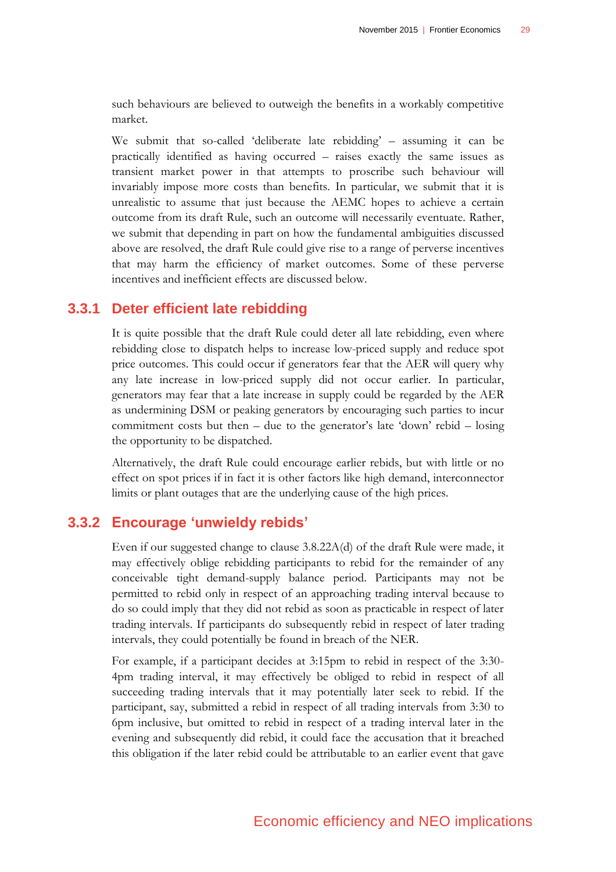such behaviours are believed to outweigh the benefits in a workably competitive market.

We submit that so-called 'deliberate late rebidding' – assuming it can be practically identified as having occurred – raises exactly the same issues as transient market power in that attempts to proscribe such behaviour will invariably impose more costs than benefits. In particular, we submit that it is unrealistic to assume that just because the AEMC hopes to achieve a certain outcome from its draft Rule, such an outcome will necessarily eventuate. Rather, we submit that depending in part on how the fundamental ambiguities discussed above are resolved, the draft Rule could give rise to a range of perverse incentives that may harm the efficiency of market outcomes. Some of these perverse incentives and inefficient effects are discussed below.

#### **3.3.1 Deter efficient late rebidding**

It is quite possible that the draft Rule could deter all late rebidding, even where rebidding close to dispatch helps to increase low-priced supply and reduce spot price outcomes. This could occur if generators fear that the AER will query why any late increase in low-priced supply did not occur earlier. In particular, generators may fear that a late increase in supply could be regarded by the AER as undermining DSM or peaking generators by encouraging such parties to incur commitment costs but then – due to the generator's late 'down' rebid – losing the opportunity to be dispatched.

Alternatively, the draft Rule could encourage earlier rebids, but with little or no effect on spot prices if in fact it is other factors like high demand, interconnector limits or plant outages that are the underlying cause of the high prices.

#### **3.3.2 Encourage 'unwieldy rebids'**

Even if our suggested change to clause 3.8.22A(d) of the draft Rule were made, it may effectively oblige rebidding participants to rebid for the remainder of any conceivable tight demand-supply balance period. Participants may not be permitted to rebid only in respect of an approaching trading interval because to do so could imply that they did not rebid as soon as practicable in respect of later trading intervals. If participants do subsequently rebid in respect of later trading intervals, they could potentially be found in breach of the NER.

For example, if a participant decides at 3:15pm to rebid in respect of the 3:30- 4pm trading interval, it may effectively be obliged to rebid in respect of all succeeding trading intervals that it may potentially later seek to rebid. If the participant, say, submitted a rebid in respect of all trading intervals from 3:30 to 6pm inclusive, but omitted to rebid in respect of a trading interval later in the evening and subsequently did rebid, it could face the accusation that it breached this obligation if the later rebid could be attributable to an earlier event that gave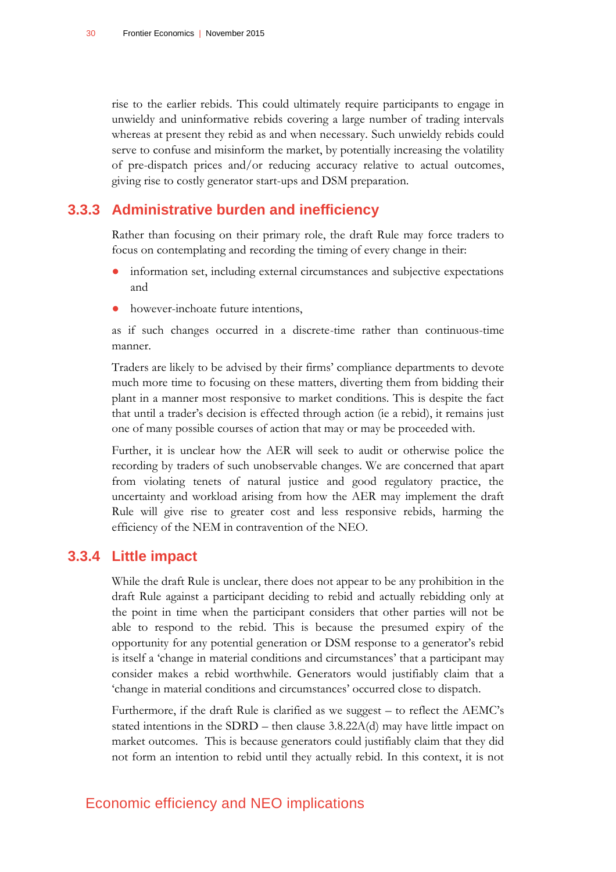rise to the earlier rebids. This could ultimately require participants to engage in unwieldy and uninformative rebids covering a large number of trading intervals whereas at present they rebid as and when necessary. Such unwieldy rebids could serve to confuse and misinform the market, by potentially increasing the volatility of pre-dispatch prices and/or reducing accuracy relative to actual outcomes, giving rise to costly generator start-ups and DSM preparation.

### **3.3.3 Administrative burden and inefficiency**

Rather than focusing on their primary role, the draft Rule may force traders to focus on contemplating and recording the timing of every change in their:

- information set, including external circumstances and subjective expectations and
- however-inchoate future intentions,

as if such changes occurred in a discrete-time rather than continuous-time manner.

Traders are likely to be advised by their firms' compliance departments to devote much more time to focusing on these matters, diverting them from bidding their plant in a manner most responsive to market conditions. This is despite the fact that until a trader's decision is effected through action (ie a rebid), it remains just one of many possible courses of action that may or may be proceeded with.

Further, it is unclear how the AER will seek to audit or otherwise police the recording by traders of such unobservable changes. We are concerned that apart from violating tenets of natural justice and good regulatory practice, the uncertainty and workload arising from how the AER may implement the draft Rule will give rise to greater cost and less responsive rebids, harming the efficiency of the NEM in contravention of the NEO.

#### **3.3.4 Little impact**

While the draft Rule is unclear, there does not appear to be any prohibition in the draft Rule against a participant deciding to rebid and actually rebidding only at the point in time when the participant considers that other parties will not be able to respond to the rebid. This is because the presumed expiry of the opportunity for any potential generation or DSM response to a generator's rebid is itself a 'change in material conditions and circumstances' that a participant may consider makes a rebid worthwhile. Generators would justifiably claim that a 'change in material conditions and circumstances' occurred close to dispatch.

Furthermore, if the draft Rule is clarified as we suggest – to reflect the AEMC's stated intentions in the SDRD – then clause 3.8.22A(d) may have little impact on market outcomes. This is because generators could justifiably claim that they did not form an intention to rebid until they actually rebid. In this context, it is not

#### Economic efficiency and NEO implications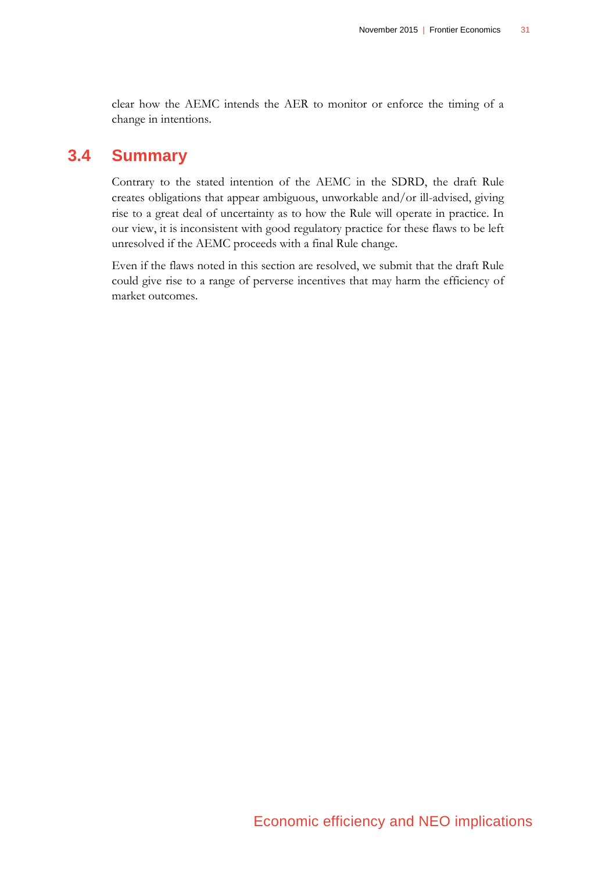<span id="page-36-0"></span>clear how the AEMC intends the AER to monitor or enforce the timing of a change in intentions.

### **3.4 Summary**

Contrary to the stated intention of the AEMC in the SDRD, the draft Rule creates obligations that appear ambiguous, unworkable and/or ill-advised, giving rise to a great deal of uncertainty as to how the Rule will operate in practice. In our view, it is inconsistent with good regulatory practice for these flaws to be left unresolved if the AEMC proceeds with a final Rule change.

Even if the flaws noted in this section are resolved, we submit that the draft Rule could give rise to a range of perverse incentives that may harm the efficiency of market outcomes.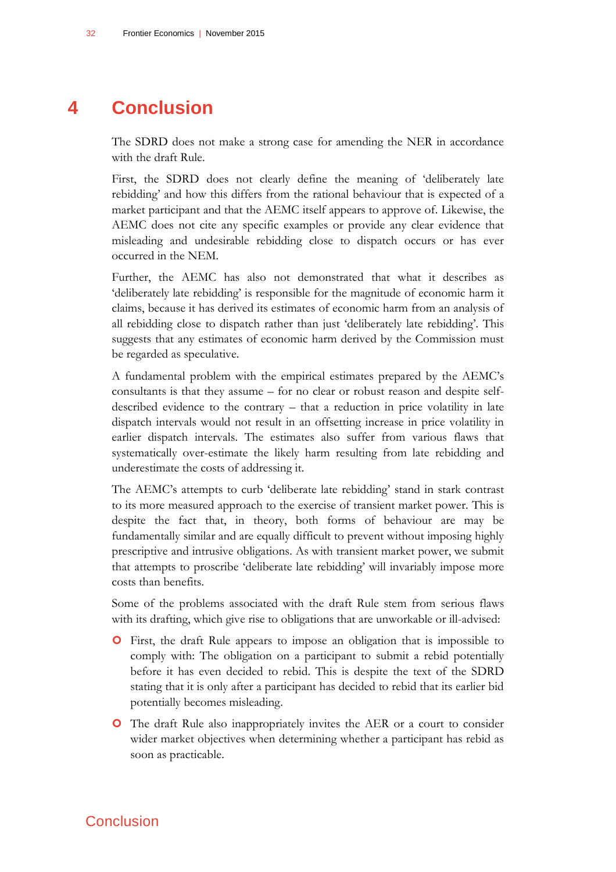## **4 Conclusion**

<span id="page-37-0"></span>The SDRD does not make a strong case for amending the NER in accordance with the draft Rule.

First, the SDRD does not clearly define the meaning of 'deliberately late rebidding' and how this differs from the rational behaviour that is expected of a market participant and that the AEMC itself appears to approve of. Likewise, the AEMC does not cite any specific examples or provide any clear evidence that misleading and undesirable rebidding close to dispatch occurs or has ever occurred in the NEM.

Further, the AEMC has also not demonstrated that what it describes as 'deliberately late rebidding' is responsible for the magnitude of economic harm it claims, because it has derived its estimates of economic harm from an analysis of all rebidding close to dispatch rather than just 'deliberately late rebidding'. This suggests that any estimates of economic harm derived by the Commission must be regarded as speculative.

A fundamental problem with the empirical estimates prepared by the AEMC's consultants is that they assume – for no clear or robust reason and despite selfdescribed evidence to the contrary – that a reduction in price volatility in late dispatch intervals would not result in an offsetting increase in price volatility in earlier dispatch intervals. The estimates also suffer from various flaws that systematically over-estimate the likely harm resulting from late rebidding and underestimate the costs of addressing it.

The AEMC's attempts to curb 'deliberate late rebidding' stand in stark contrast to its more measured approach to the exercise of transient market power. This is despite the fact that, in theory, both forms of behaviour are may be fundamentally similar and are equally difficult to prevent without imposing highly prescriptive and intrusive obligations. As with transient market power, we submit that attempts to proscribe 'deliberate late rebidding' will invariably impose more costs than benefits.

Some of the problems associated with the draft Rule stem from serious flaws with its drafting, which give rise to obligations that are unworkable or ill-advised:

- First, the draft Rule appears to impose an obligation that is impossible to comply with: The obligation on a participant to submit a rebid potentially before it has even decided to rebid. This is despite the text of the SDRD stating that it is only after a participant has decided to rebid that its earlier bid potentially becomes misleading.
- The draft Rule also inappropriately invites the AER or a court to consider wider market objectives when determining whether a participant has rebid as soon as practicable.

**Conclusion**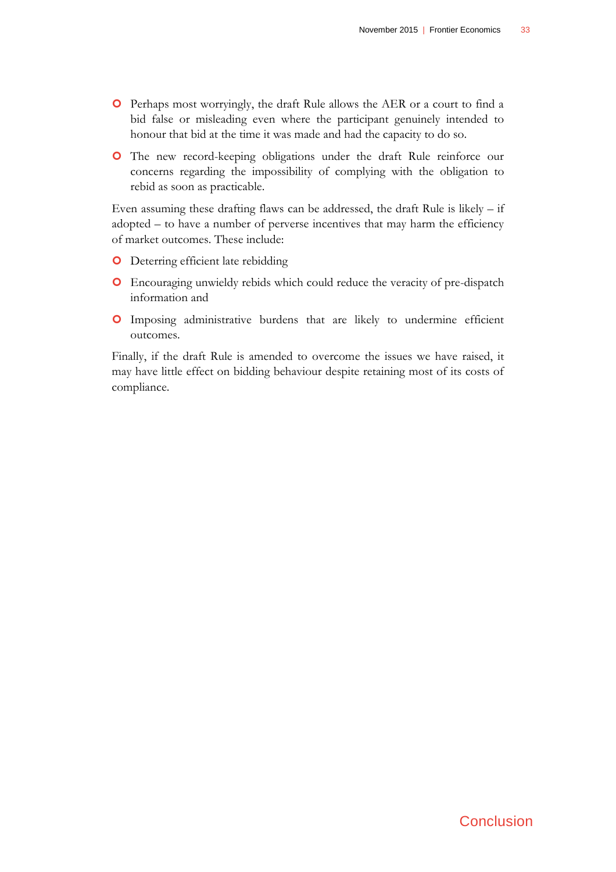- Perhaps most worryingly, the draft Rule allows the AER or a court to find a bid false or misleading even where the participant genuinely intended to honour that bid at the time it was made and had the capacity to do so.
- The new record-keeping obligations under the draft Rule reinforce our concerns regarding the impossibility of complying with the obligation to rebid as soon as practicable.

Even assuming these drafting flaws can be addressed, the draft Rule is likely – if adopted – to have a number of perverse incentives that may harm the efficiency of market outcomes. These include:

- **O** Deterring efficient late rebidding
- Encouraging unwieldy rebids which could reduce the veracity of pre-dispatch information and
- Imposing administrative burdens that are likely to undermine efficient outcomes.

Finally, if the draft Rule is amended to overcome the issues we have raised, it may have little effect on bidding behaviour despite retaining most of its costs of compliance.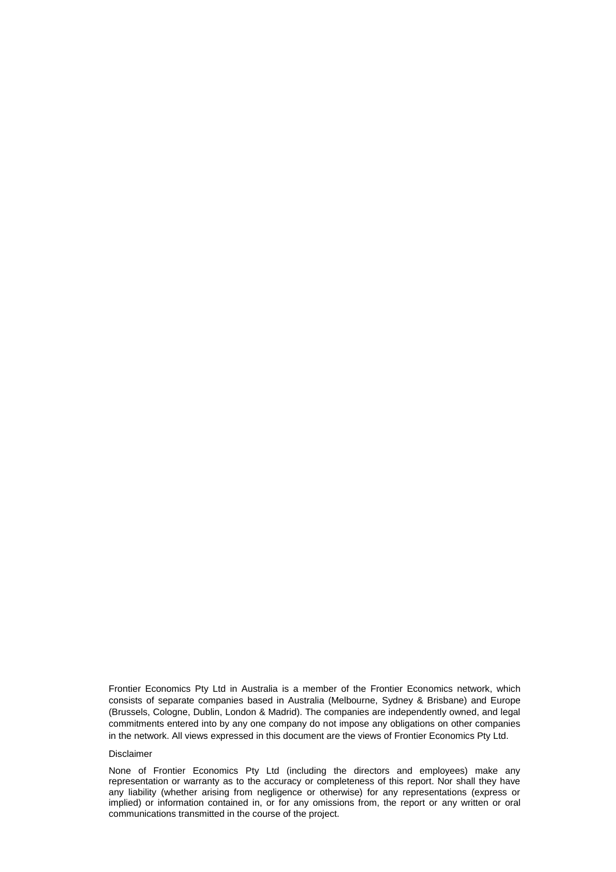Frontier Economics Pty Ltd in Australia is a member of the Frontier Economics network, which consists of separate companies based in Australia (Melbourne, Sydney & Brisbane) and Europe (Brussels, Cologne, Dublin, London & Madrid). The companies are independently owned, and legal commitments entered into by any one company do not impose any obligations on other companies in the network. All views expressed in this document are the views of Frontier Economics Pty Ltd.

#### Disclaimer

None of Frontier Economics Pty Ltd (including the directors and employees) make any representation or warranty as to the accuracy or completeness of this report. Nor shall they have any liability (whether arising from negligence or otherwise) for any representations (express or implied) or information contained in, or for any omissions from, the report or any written or oral communications transmitted in the course of the project.